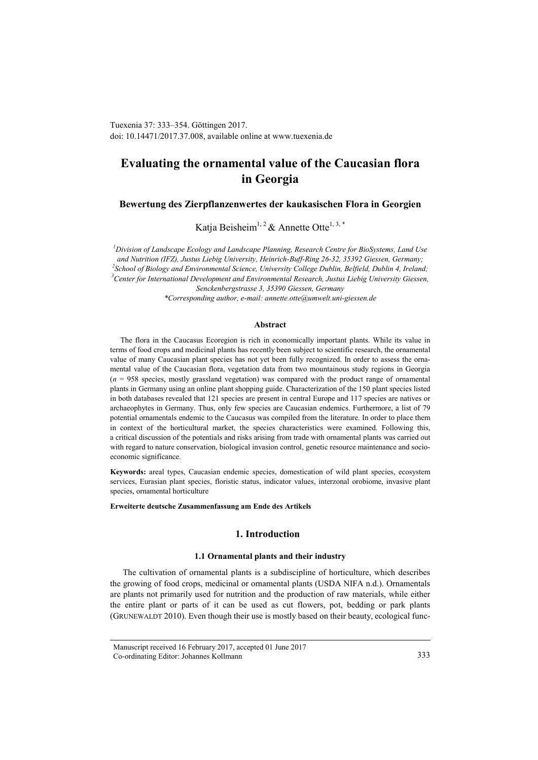Tuexenia 37: 333–354. Göttingen 2017. doi: 10.14471/2017.37.008, available online a[t www.tuexenia.de](http://www.tuexenia.de/)

# **Evaluating the ornamental value of the Caucasian flora in Georgia**

**Bewertung des Zierpflanzenwertes der kaukasischen Flora in Georgien**

Katja Beisheim<sup>1, 2</sup> & Annette Otte<sup>1, 3, \*</sup>

*<sup>1</sup>Division of Landscape Ecology and Landscape Planning, Research Centre for BioSystems, Land Use and Nutrition (IFZ), Justus Liebig University, Heinrich-Buff-Ring 26-32, 35392 Giessen, Germany; 2 School of Biology and Environmental Science, University College Dublin, Belfield, Dublin 4, Ireland; <sup>3</sup>Center for International Development and Environmental Research, Justus Liebig University Giessen, Senckenbergstrasse 3, 35390 Giessen, Germany \*Corresponding author, e-mail: annette.otte@umwelt.uni-giessen.de*

#### **Abstract**

The flora in the Caucasus Ecoregion is rich in economically important plants. While its value in terms of food crops and medicinal plants has recently been subject to scientific research, the ornamental value of many Caucasian plant species has not yet been fully recognized. In order to assess the ornamental value of the Caucasian flora, vegetation data from two mountainous study regions in Georgia (*n* = 958 species, mostly grassland vegetation) was compared with the product range of ornamental plants in Germany using an online plant shopping guide. Characterization of the 150 plant species listed in both databases revealed that 121 species are present in central Europe and 117 species are natives or archaeophytes in Germany. Thus, only few species are Caucasian endemics. Furthermore, a list of 79 potential ornamentals endemic to the Caucasus was compiled from the literature. In order to place them in context of the horticultural market, the species characteristics were examined. Following this, a critical discussion of the potentials and risks arising from trade with ornamental plants was carried out with regard to nature conservation, biological invasion control, genetic resource maintenance and socioeconomic significance.

**Keywords:** areal types, Caucasian endemic species, domestication of wild plant species, ecosystem services, Eurasian plant species, floristic status, indicator values, interzonal orobiome, invasive plant species, ornamental horticulture

#### **Erweiterte deutsche Zusammenfassung am Ende des Artikels**

## **1. Introduction**

# **1.1 Ornamental plants and their industry**

The cultivation of ornamental plants is a subdiscipline of horticulture, which describes the growing of food crops, medicinal or ornamental plants (USDA NIFA n.d.). Ornamentals are plants not primarily used for nutrition and the production of raw materials, while either the entire plant or parts of it can be used as cut flowers, pot, bedding or park plants (GRUNEWALDT 2010). Even though their use is mostly based on their beauty, ecological func-

Manuscript received 16 February 2017, accepted 01 June 2017 Co-ordinating Editor: Johannes Kollmann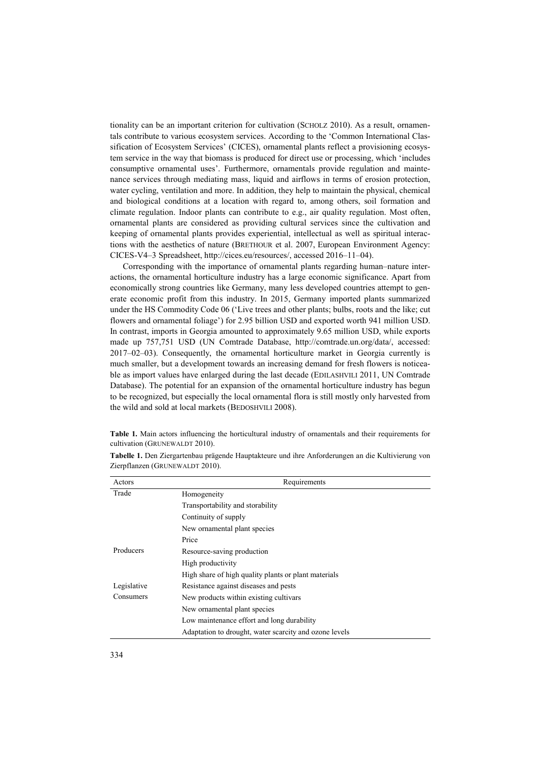tionality can be an important criterion for cultivation (SCHOLZ 2010). As a result, ornamentals contribute to various ecosystem services. According to the 'Common International Classification of Ecosystem Services' (CICES), ornamental plants reflect a provisioning ecosystem service in the way that biomass is produced for direct use or processing, which 'includes consumptive ornamental uses'. Furthermore, ornamentals provide regulation and maintenance services through mediating mass, liquid and airflows in terms of erosion protection, water cycling, ventilation and more. In addition, they help to maintain the physical, chemical and biological conditions at a location with regard to, among others, soil formation and climate regulation. Indoor plants can contribute to e.g., air quality regulation. Most often, ornamental plants are considered as providing cultural services since the cultivation and keeping of ornamental plants provides experiential, intellectual as well as spiritual interactions with the aesthetics of nature (BRETHOUR et al. 2007, European Environment Agency: [CICES-V4–3](http://cices.eu/content/uploads/sites/8/2015/09/CICES-V4-3-_-17-01-13a.xlsx) Spreadsheet, http://cices.eu/resources/, accessed 2016–11–04).

Corresponding with the importance of ornamental plants regarding human–nature interactions, the ornamental horticulture industry has a large economic significance. Apart from economically strong countries like Germany, many less developed countries attempt to generate economic profit from this industry. In 2015, Germany imported plants summarized under the HS Commodity Code 06 ('Live trees and other plants; bulbs, roots and the like; cut flowers and ornamental foliage') for 2.95 billion USD and exported worth 941 million USD. In contrast, imports in Georgia amounted to approximately 9.65 million USD, while exports made up 757,751 USD (UN Comtrade Database, http://comtrade.un.org/data/, accessed: 2017–02–03). Consequently, the ornamental horticulture market in Georgia currently is much smaller, but a development towards an increasing demand for fresh flowers is noticeable as import values have enlarged during the last decade (EDILASHVILI 2011, UN Comtrade Database). The potential for an expansion of the ornamental horticulture industry has begun to be recognized, but especially the local ornamental flora is still mostly only harvested from the wild and sold at local markets (BEDOSHVILI 2008).

**Table 1.** Main actors influencing the horticultural industry of ornamentals and their requirements for cultivation (GRUNEWALDT 2010).

| Actors      | Requirements                                           |
|-------------|--------------------------------------------------------|
| Trade       | Homogeneity                                            |
|             | Transportability and storability                       |
|             | Continuity of supply                                   |
|             | New ornamental plant species                           |
|             | Price                                                  |
| Producers   | Resource-saving production                             |
|             | High productivity                                      |
|             | High share of high quality plants or plant materials   |
| Legislative | Resistance against diseases and pests                  |
| Consumers   | New products within existing cultivars                 |
|             | New ornamental plant species                           |
|             | Low maintenance effort and long durability             |
|             | Adaptation to drought, water scarcity and ozone levels |

**Tabelle 1.** Den Ziergartenbau prägende Hauptakteure und ihre Anforderungen an die Kultivierung von Zierpflanzen (GRUNEWALDT 2010).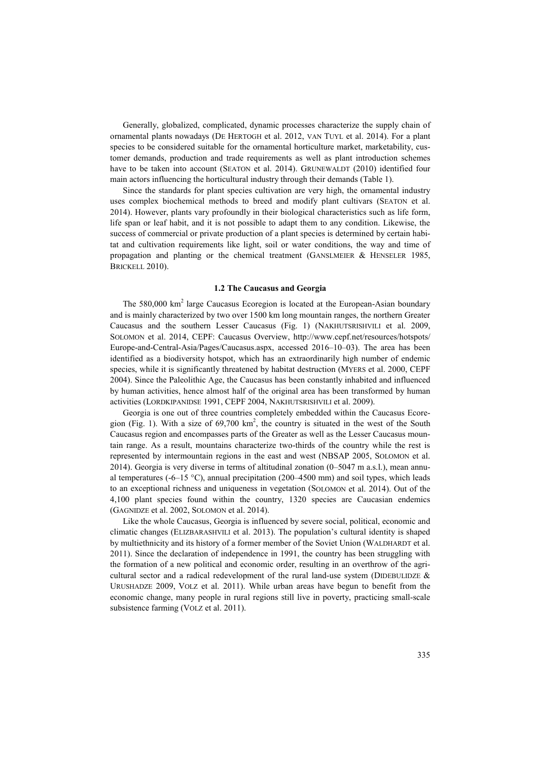Generally, globalized, complicated, dynamic processes characterize the supply chain of ornamental plants nowadays (DE HERTOGH et al. 2012, VAN TUYL et al. 2014). For a plant species to be considered suitable for the ornamental horticulture market, marketability, customer demands, production and trade requirements as well as plant introduction schemes have to be taken into account (SEATON et al. 2014). GRUNEWALDT (2010) identified four main actors influencing the horticultural industry through their demands (Table 1).

Since the standards for plant species cultivation are very high, the ornamental industry uses complex biochemical methods to breed and modify plant cultivars (SEATON et al. 2014). However, plants vary profoundly in their biological characteristics such as life form, life span or leaf habit, and it is not possible to adapt them to any condition. Likewise, the success of commercial or private production of a plant species is determined by certain habitat and cultivation requirements like light, soil or water conditions, the way and time of propagation and planting or the chemical treatment (GANSLMEIER & HENSELER 1985, BRICKELL 2010).

#### **1.2 The Caucasus and Georgia**

The 580,000 km<sup>2</sup> large Caucasus Ecoregion is located at the European-Asian boundary and is mainly characterized by two over 1500 km long mountain ranges, the northern Greater Caucasus and the southern Lesser Caucasus (Fig. 1) (NAKHUTSRISHVILI et al. 2009, SOLOMON et al. 2014, CEPF: Caucasus Overview, http://www.cepf.net/resources/hotspots/ Europe-and-Central-Asia/Pages/Caucasus.aspx, accessed 2016–10–03). The area has been identified as a biodiversity hotspot, which has an extraordinarily high number of endemic species, while it is significantly threatened by habitat destruction (MYERS et al. 2000, CEPF 2004). Since the Paleolithic Age, the Caucasus has been constantly inhabited and influenced by human activities, hence almost half of the original area has been transformed by human activities (LORDKIPANIDSE 1991, CEPF 2004, NAKHUTSRISHVILI et al. 2009).

Georgia is one out of three countries completely embedded within the Caucasus Ecoregion (Fig. 1). With a size of  $69,700 \text{ km}^2$ , the country is situated in the west of the South Caucasus region and encompasses parts of the Greater as well as the Lesser Caucasus mountain range. As a result, mountains characterize two-thirds of the country while the rest is represented by intermountain regions in the east and west (NBSAP 2005, SOLOMON et al. 2014). Georgia is very diverse in terms of altitudinal zonation (0–5047 m a.s.l.), mean annual temperatures (-6–15 °C), annual precipitation (200–4500 mm) and soil types, which leads to an exceptional richness and uniqueness in vegetation (SOLOMON et al. 2014). Out of the 4,100 plant species found within the country, 1320 species are Caucasian endemics (GAGNIDZE et al. 2002, SOLOMON et al. 2014).

Like the whole Caucasus, Georgia is influenced by severe social, political, economic and climatic changes (ELIZBARASHVILI et al. 2013). The population's cultural identity is shaped by multiethnicity and its history of a former member of the Soviet Union (WALDHARDT et al. 2011). Since the declaration of independence in 1991, the country has been struggling with the formation of a new political and economic order, resulting in an overthrow of the agricultural sector and a radical redevelopment of the rural land-use system (DIDEBULIDZE  $\&$ URUSHADZE 2009, VOLZ et al. 2011). While urban areas have begun to benefit from the economic change, many people in rural regions still live in poverty, practicing small-scale subsistence farming (VOLZ et al. 2011).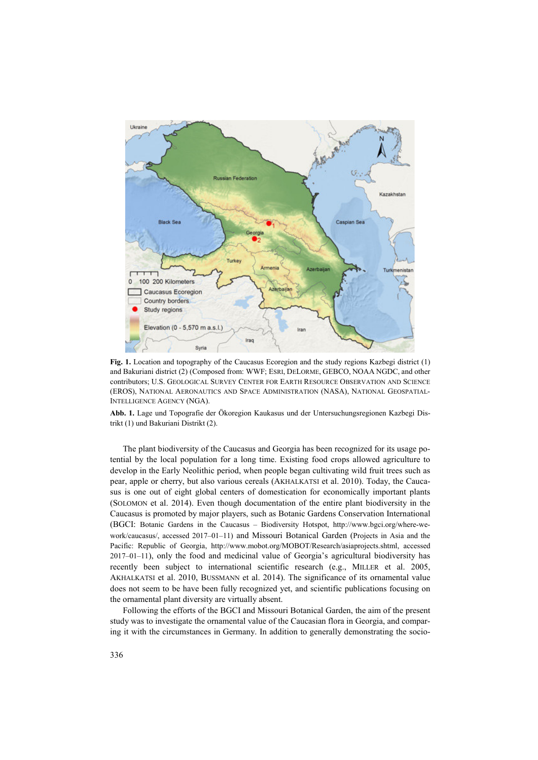

**Fig. 1.** Location and topography of the Caucasus Ecoregion and the study regions Kazbegi district (1) and Bakuriani district (2) (Composed from: WWF; ESRI, DELORME, GEBCO, NOAA NGDC, and other contributors; U.S. GEOLOGICAL SURVEY CENTER FOR EARTH RESOURCE OBSERVATION AND SCIENCE (EROS), NATIONAL AERONAUTICS AND SPACE ADMINISTRATION (NASA), NATIONAL GEOSPATIAL-INTELLIGENCE AGENCY (NGA).

**Abb. 1.** Lage und Topografie der Ökoregion Kaukasus und der Untersuchungsregionen Kazbegi Distrikt (1) und Bakuriani Distrikt (2).

The plant biodiversity of the Caucasus and Georgia has been recognized for its usage potential by the local population for a long time. Existing food crops allowed agriculture to develop in the Early Neolithic period, when people began cultivating wild fruit trees such as pear, apple or cherry, but also various cereals (AKHALKATSI et al. 2010). Today, the Caucasus is one out of eight global centers of domestication for economically important plants (SOLOMON et al. 2014). Even though documentation of the entire plant biodiversity in the Caucasus is promoted by major players, such as Botanic Gardens Conservation International (BGCI: Botanic Gardens in the Caucasus – Biodiversity Hotspot, http://www.bgci.org/where-wework/caucasus/, accessed 2017–01–11) and Missouri Botanical Garden (Projects in Asia and the Pacific: Republic of Georgia, http://www.mobot.org/MOBOT/Research/asiaprojects.shtml, accessed 2017–01–11), only the food and medicinal value of Georgia's agricultural biodiversity has recently been subject to international scientific research (e.g., MILLER et al. 2005, AKHALKATSI et al. 2010, BUSSMANN et al. 2014). The significance of its ornamental value does not seem to be have been fully recognized yet, and scientific publications focusing on the ornamental plant diversity are virtually absent.

Following the efforts of the BGCI and Missouri Botanical Garden, the aim of the present study was to investigate the ornamental value of the Caucasian flora in Georgia, and comparing it with the circumstances in Germany. In addition to generally demonstrating the socio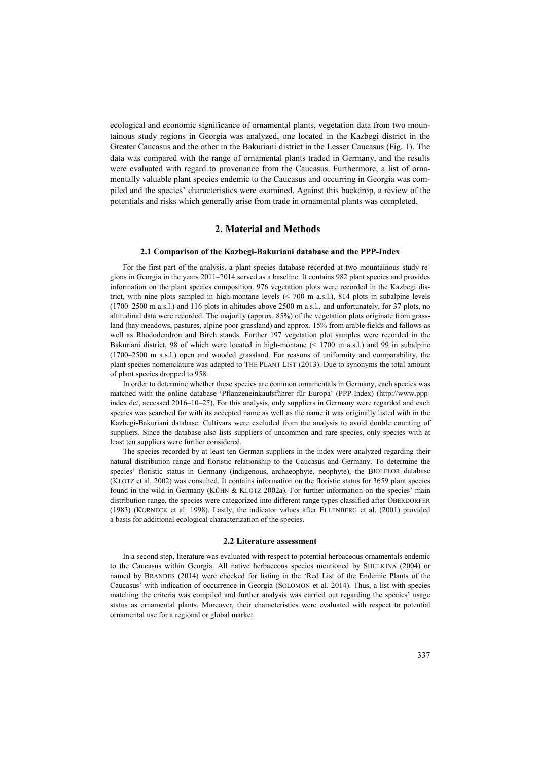ecological and economic significance of ornamental plants, vegetation data from two mountainous study regions in Georgia was analyzed, one located in the Kazbegi district in the Greater Caucasus and the other in the Bakuriani district in the Lesser Caucasus (Fig. 1). The data was compared with the range of ornamental plants traded in Germany, and the results were evaluated with regard to provenance from the Caucasus. Furthermore, a list of ornamentally valuable plant species endemic to the Caucasus and occurring in Georgia was compiled and the species' characteristics were examined. Against this backdrop, a review of the potentials and risks which generally arise from trade in ornamental plants was completed.

# **2. Material and Methods**

#### **2.1 Comparison of the Kazbegi-Bakuriani database and the PPP-Index**

For the first part of the analysis, a plant species database recorded at two mountainous study regions in Georgia in the years 2011–2014 served as a baseline. It contains 982 plant species and provides information on the plant species composition. 976 vegetation plots were recorded in the Kazbegi district, with nine plots sampled in high-montane levels (< 700 m a.s.l.), 814 plots in subalpine levels (1700–2500 m a.s.l.) and 116 plots in altitudes above 2500 m a.s.l., and unfortunately, for 37 plots, no altitudinal data were recorded. The majority (approx. 85%) of the vegetation plots originate from grassland (hay meadows, pastures, alpine poor grassland) and approx. 15% from arable fields and fallows as well as Rhododendron and Birch stands. Further 197 vegetation plot samples were recorded in the Bakuriani district, 98 of which were located in high-montane (< 1700 m a.s.l.) and 99 in subalpine (1700–2500 m a.s.l.) open and wooded grassland. For reasons of uniformity and comparability, the plant species nomenclature was adapted to THE PLANT LIST (2013). Due to synonyms the total amount of plant species dropped to 958.

In order to determine whether these species are common ornamentals in Germany, each species was matched with the online database 'Pflanzeneinkaufsführer für Europa' (PPP-Index) (http://www.pppindex.de/, accessed 2016–10–25). For this analysis, only suppliers in Germany were regarded and each species was searched for with its accepted name as well as the name it was originally listed with in the Kazbegi-Bakuriani database. Cultivars were excluded from the analysis to avoid double counting of suppliers. Since the database also lists suppliers of uncommon and rare species, only species with at least ten suppliers were further considered.

The species recorded by at least ten German suppliers in the index were analyzed regarding their natural distribution range and floristic relationship to the Caucasus and Germany. To determine the species' floristic status in Germany (indigenous, archaeophyte, neophyte), the BIOLFLOR database (KLOTZ et al. 2002) was consulted. It contains information on the floristic status for 3659 plant species found in the wild in Germany (KÜHN & KLOTZ 2002a). For further information on the species' main distribution range, the species were categorized into different range types classified after OBERDORFER (1983) (KORNECK et al. 1998). Lastly, the indicator values after ELLENBERG et al. (2001) provided a basis for additional ecological characterization of the species.

#### **2.2 Literature assessment**

In a second step, literature was evaluated with respect to potential herbaceous ornamentals endemic to the Caucasus within Georgia. All native herbaceous species mentioned by SHULKINA (2004) or named by BRANDES (2014) were checked for listing in the 'Red List of the Endemic Plants of the Caucasus' with indication of occurrence in Georgia (SOLOMON et al. 2014). Thus, a list with species matching the criteria was compiled and further analysis was carried out regarding the species' usage status as ornamental plants. Moreover, their characteristics were evaluated with respect to potential ornamental use for a regional or global market.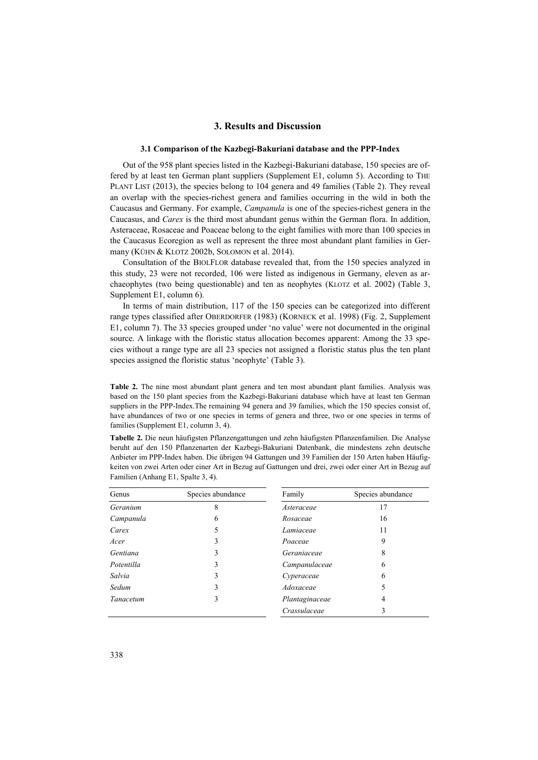# **3. Results and Discussion**

#### **3.1 Comparison of the Kazbegi-Bakuriani database and the PPP-Index**

Out of the 958 plant species listed in the Kazbegi-Bakuriani database, 150 species are offered by at least ten German plant suppliers (Supplement E1, column 5). According to THE PLANT LIST (2013), the species belong to 104 genera and 49 families (Table 2). They reveal an overlap with the species-richest genera and families occurring in the wild in both the Caucasus and Germany. For example, *Campanula* is one of the species-richest genera in the Caucasus, and *Carex* is the third most abundant genus within the German flora. In addition, Asteraceae, Rosaceae and Poaceae belong to the eight families with more than 100 species in the Caucasus Ecoregion as well as represent the three most abundant plant families in Germany (KÜHN & KLOTZ 2002b, SOLOMON et al. 2014).

Consultation of the BIOLFLOR database revealed that, from the 150 species analyzed in this study, 23 were not recorded, 106 were listed as indigenous in Germany, eleven as archaeophytes (two being questionable) and ten as neophytes (KLOTZ et al. 2002) (Table 3, Supplement E1, column 6).

In terms of main distribution, 117 of the 150 species can be categorized into different range types classified after OBERDORFER (1983) (KORNECK et al. 1998) (Fig. 2, Supplement E1, column 7). The 33 species grouped under 'no value' were not documented in the original source. A linkage with the floristic status allocation becomes apparent: Among the 33 species without a range type are all 23 species not assigned a floristic status plus the ten plant species assigned the floristic status 'neophyte' (Table 3).

**Table 2.** The nine most abundant plant genera and ten most abundant plant families. Analysis was based on the 150 plant species from the Kazbegi-Bakuriani database which have at least ten German suppliers in the PPP-Index.The remaining 94 genera and 39 families, which the 150 species consist of, have abundances of two or one species in terms of genera and three, two or one species in terms of families (Supplement E1, column 3, 4).

**Tabelle 2.** Die neun häufigsten Pflanzengattungen und zehn häufigsten Pflanzenfamilien. Die Analyse beruht auf den 150 Pflanzenarten der Kazbegi-Bakuriani Datenbank, die mindestens zehn deutsche Anbieter im PPP-Index haben. Die übrigen 94 Gattungen und 39 Familien der 150 Arten haben Häufigkeiten von zwei Arten oder einer Art in Bezug auf Gattungen und drei, zwei oder einer Art in Bezug auf Familien (Anhang E1, Spalte 3, 4).

| Genus      | Species abundance | Family         | Species abundance |
|------------|-------------------|----------------|-------------------|
| Geranium   | 8                 | Asteraceae     | 17                |
| Campanula  | 6                 | Rosaceae       | 16                |
| Carex      |                   | Lamiaceae      | 11                |
| Acer       | 3                 | Poaceae        | 9                 |
| Gentiana   | 3                 | Geraniaceae    | 8                 |
| Potentilla | 3                 | Campanulaceae  | 6                 |
| Salvia     | 3                 | Cyperaceae     | 6                 |
| Sedum      | 3                 | Adoxaceae      |                   |
| Tanacetum  |                   | Plantaginaceae | 4                 |
|            |                   | Crassulaceae   | 3                 |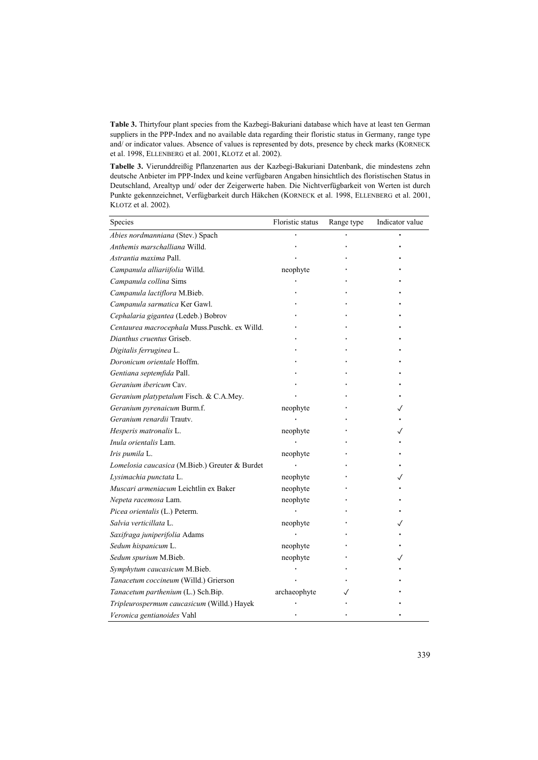**Table 3.** Thirtyfour plant species from the Kazbegi-Bakuriani database which have at least ten German suppliers in the PPP-Index and no available data regarding their floristic status in Germany, range type and/ or indicator values. Absence of values is represented by dots, presence by check marks (KORNECK et al. 1998, ELLENBERG et al. 2001, KLOTZ et al. 2002).

**Tabelle 3.** Vierunddreißig Pflanzenarten aus der Kazbegi-Bakuriani Datenbank, die mindestens zehn deutsche Anbieter im PPP-Index und keine verfügbaren Angaben hinsichtlich des floristischen Status in Deutschland, Arealtyp und/ oder der Zeigerwerte haben. Die Nichtverfügbarkeit von Werten ist durch Punkte gekennzeichnet, Verfügbarkeit durch Häkchen (KORNECK et al. 1998, ELLENBERG et al. 2001, KLOTZ et al. 2002).

| Species                                        | Floristic status | Range type | Indicator value |
|------------------------------------------------|------------------|------------|-----------------|
| Abies nordmanniana (Stev.) Spach               |                  |            |                 |
| Anthemis marschalliana Willd.                  |                  |            |                 |
| Astrantia maxima Pall.                         |                  |            |                 |
| Campanula alliariifolia Willd.                 | neophyte         |            |                 |
| Campanula collina Sims                         |                  |            |                 |
| Campanula lactiflora M.Bieb.                   |                  |            |                 |
| Campanula sarmatica Ker Gawl.                  |                  |            |                 |
| Cephalaria gigantea (Ledeb.) Bobrov            |                  |            |                 |
| Centaurea macrocephala Muss.Puschk. ex Willd.  |                  |            |                 |
| Dianthus cruentus Griseb.                      |                  |            |                 |
| Digitalis ferruginea L.                        |                  |            |                 |
| Doronicum orientale Hoffm.                     |                  |            |                 |
| Gentiana septemfida Pall.                      |                  |            |                 |
| Geranium ibericum Cav.                         |                  |            |                 |
| Geranium platypetalum Fisch. & C.A.Mey.        |                  |            |                 |
| Geranium pyrenaicum Burm.f.                    | neophyte         |            |                 |
| Geranium renardii Trauty.                      |                  |            |                 |
| Hesperis matronalis L.                         | neophyte         |            |                 |
| Inula orientalis Lam.                          |                  |            |                 |
| Iris pumila L.                                 | neophyte         |            |                 |
| Lomelosia caucasica (M.Bieb.) Greuter & Burdet |                  |            |                 |
| Lysimachia punctata L.                         | neophyte         |            |                 |
| Muscari armeniacum Leichtlin ex Baker          | neophyte         |            |                 |
| Nepeta racemosa Lam.                           | neophyte         |            |                 |
| Picea orientalis (L.) Peterm.                  |                  |            |                 |
| Salvia verticillata L.                         | neophyte         |            |                 |
| Saxifraga juniperifolia Adams                  |                  |            |                 |
| Sedum hispanicum L.                            | neophyte         |            |                 |
| Sedum spurium M.Bieb.                          | neophyte         |            |                 |
| Symphytum caucasicum M.Bieb.                   |                  |            |                 |
| Tanacetum coccineum (Willd.) Grierson          |                  |            |                 |
| Tanacetum parthenium (L.) Sch.Bip.             | archaeophyte     |            |                 |
| Tripleurospermum caucasicum (Willd.) Hayek     |                  |            |                 |
| Veronica gentianoides Vahl                     |                  |            |                 |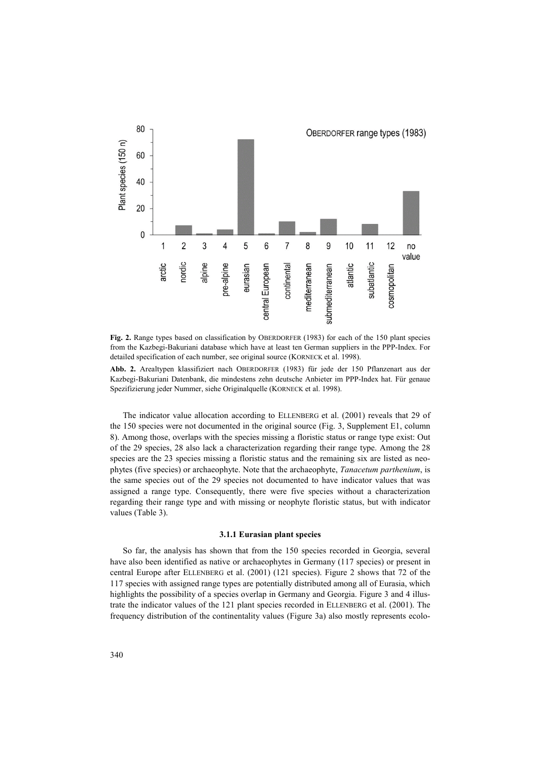

**Fig. 2.** Range types based on classification by OBERDORFER (1983) for each of the 150 plant species from the Kazbegi-Bakuriani database which have at least ten German suppliers in the PPP-Index. For detailed specification of each number, see original source (KORNECK et al. 1998).

**Abb. 2.** Arealtypen klassifiziert nach OBERDORFER (1983) für jede der 150 Pflanzenart aus der Kazbegi-Bakuriani Datenbank, die mindestens zehn deutsche Anbieter im PPP-Index hat. Für genaue Spezifizierung jeder Nummer, siehe Originalquelle (KORNECK et al. 1998).

The indicator value allocation according to ELLENBERG et al. (2001) reveals that 29 of the 150 species were not documented in the original source (Fig. 3, Supplement E1, column 8). Among those, overlaps with the species missing a floristic status or range type exist: Out of the 29 species, 28 also lack a characterization regarding their range type. Among the 28 species are the 23 species missing a floristic status and the remaining six are listed as neophytes (five species) or archaeophyte. Note that the archaeophyte, *Tanacetum parthenium*, is the same species out of the 29 species not documented to have indicator values that was assigned a range type. Consequently, there were five species without a characterization regarding their range type and with missing or neophyte floristic status, but with indicator values (Table 3).

#### **3.1.1 Eurasian plant species**

So far, the analysis has shown that from the 150 species recorded in Georgia, several have also been identified as native or archaeophytes in Germany (117 species) or present in central Europe after ELLENBERG et al. (2001) (121 species). Figure 2 shows that 72 of the 117 species with assigned range types are potentially distributed among all of Eurasia, which highlights the possibility of a species overlap in Germany and Georgia. Figure 3 and 4 illustrate the indicator values of the 121 plant species recorded in ELLENBERG et al. (2001). The frequency distribution of the continentality values (Figure 3a) also mostly represents ecolo-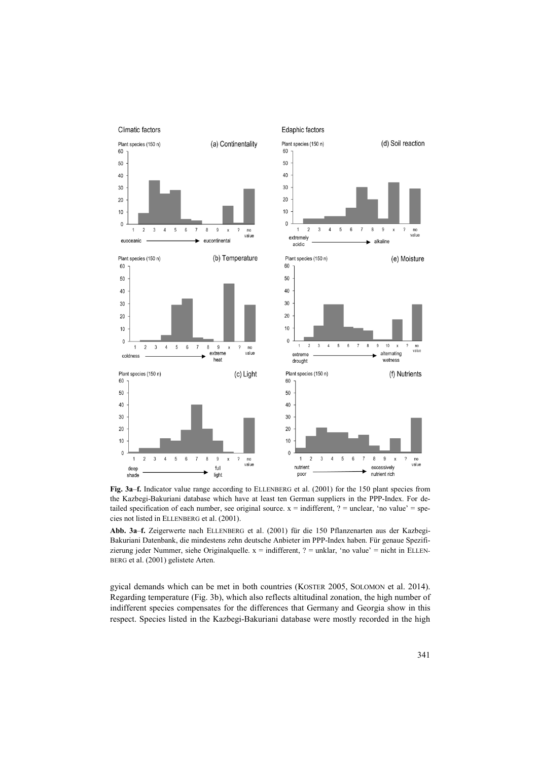

**Fig. 3a**–**f.** Indicator value range according to ELLENBERG et al. (2001) for the 150 plant species from the Kazbegi-Bakuriani database which have at least ten German suppliers in the PPP-Index. For detailed specification of each number, see original source.  $x =$  indifferent,  $? =$  unclear, 'no value' = species not listed in ELLENBERG et al. (2001).

**Abb. 3a**–**f.** Zeigerwerte nach ELLENBERG et al. (2001) für die 150 Pflanzenarten aus der Kazbegi-Bakuriani Datenbank, die mindestens zehn deutsche Anbieter im PPP-Index haben. Für genaue Spezifizierung jeder Nummer, siehe Originalquelle.  $x =$  indifferent,  $? =$  unklar, 'no value' = nicht in ELLEN-BERG et al. (2001) gelistete Arten.

gyical demands which can be met in both countries (KOSTER 2005, SOLOMON et al. 2014). Regarding temperature (Fig. 3b), which also reflects altitudinal zonation, the high number of indifferent species compensates for the differences that Germany and Georgia show in this respect. Species listed in the Kazbegi-Bakuriani database were mostly recorded in the high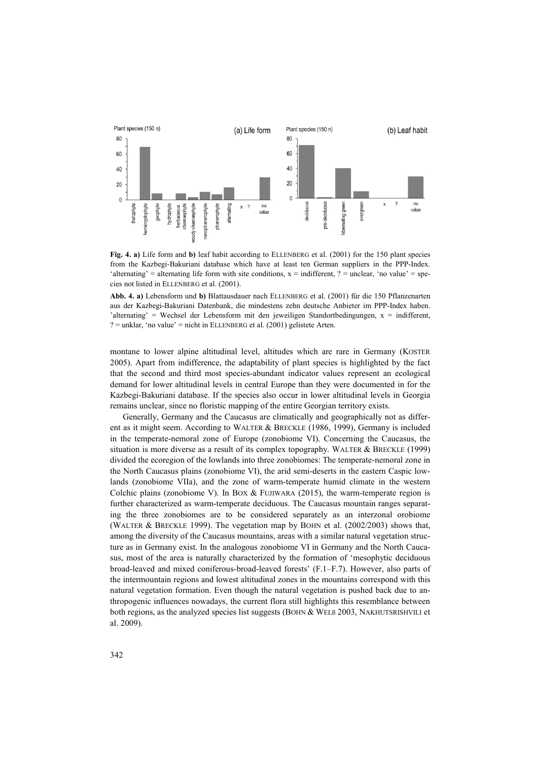

**Fig. 4. a)** Life form and **b)** leaf habit according to ELLENBERG et al. (2001) for the 150 plant species from the Kazbegi-Bakuriani database which have at least ten German suppliers in the PPP-Index. 'alternating' = alternating life form with site conditions,  $x =$  indifferent, ? = unclear, 'no value' = species not listed in ELLENBERG et al. (2001).

**Abb. 4. a)** Lebensform und **b)** Blattausdauer nach ELLENBERG et al. (2001) für die 150 Pflanzenarten aus der Kazbegi-Bakuriani Datenbank, die mindestens zehn deutsche Anbieter im PPP-Index haben. 'alternating' = Wechsel der Lebensform mit den jeweiligen Standortbedingungen, x = indifferent,  $? =$  unklar, 'no value' = nicht in ELLENBERG et al. (2001) gelistete Arten.

montane to lower alpine altitudinal level, altitudes which are rare in Germany (KOSTER 2005). Apart from indifference, the adaptability of plant species is highlighted by the fact that the second and third most species-abundant indicator values represent an ecological demand for lower altitudinal levels in central Europe than they were documented in for the Kazbegi-Bakuriani database. If the species also occur in lower altitudinal levels in Georgia remains unclear, since no floristic mapping of the entire Georgian territory exists.

Generally, Germany and the Caucasus are climatically and geographically not as different as it might seem. According to WALTER & BRECKLE (1986, 1999), Germany is included in the temperate-nemoral zone of Europe (zonobiome VI). Concerning the Caucasus, the situation is more diverse as a result of its complex topography. WALTER & BRECKLE (1999) divided the ecoregion of the lowlands into three zonobiomes: The temperate-nemoral zone in the North Caucasus plains (zonobiome VI), the arid semi-deserts in the eastern Caspic lowlands (zonobiome VIIa), and the zone of warm-temperate humid climate in the western Colchic plains (zonobiome V). In BOX & FUJIWARA (2015), the warm-temperate region is further characterized as warm-temperate deciduous. The Caucasus mountain ranges separating the three zonobiomes are to be considered separately as an interzonal orobiome (WALTER & BRECKLE 1999). The vegetation map by BOHN et al. (2002/2003) shows that, among the diversity of the Caucasus mountains, areas with a similar natural vegetation structure as in Germany exist. In the analogous zonobiome VI in Germany and the North Caucasus, most of the area is naturally characterized by the formation of 'mesophytic deciduous broad-leaved and mixed coniferous-broad-leaved forests' (F.1–F.7). However, also parts of the intermountain regions and lowest altitudinal zones in the mountains correspond with this natural vegetation formation. Even though the natural vegetation is pushed back due to anthropogenic influences nowadays, the current flora still highlights this resemblance between both regions, as the analyzed species list suggests (BOHN & WELB 2003, NAKHUTSRISHVILI et al. 2009).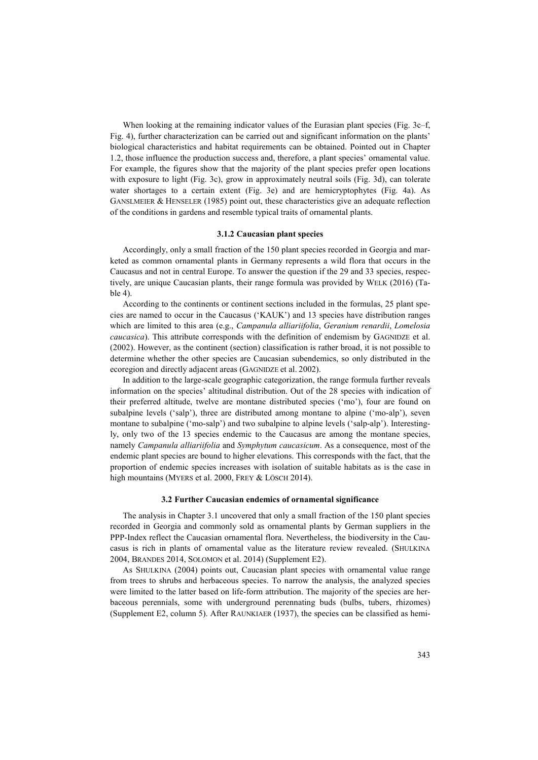When looking at the remaining indicator values of the Eurasian plant species (Fig. 3c–f, Fig. 4), further characterization can be carried out and significant information on the plants' biological characteristics and habitat requirements can be obtained. Pointed out in Chapter 1.2, those influence the production success and, therefore, a plant species' ornamental value. For example, the figures show that the majority of the plant species prefer open locations with exposure to light (Fig. 3c), grow in approximately neutral soils (Fig. 3d), can tolerate water shortages to a certain extent (Fig. 3e) and are hemicryptophytes (Fig. 4a). As GANSLMEIER & HENSELER (1985) point out, these characteristics give an adequate reflection of the conditions in gardens and resemble typical traits of ornamental plants.

## **3.1.2 Caucasian plant species**

Accordingly, only a small fraction of the 150 plant species recorded in Georgia and marketed as common ornamental plants in Germany represents a wild flora that occurs in the Caucasus and not in central Europe. To answer the question if the 29 and 33 species, respectively, are unique Caucasian plants, their range formula was provided by WELK (2016) (Table 4).

According to the continents or continent sections included in the formulas, 25 plant species are named to occur in the Caucasus ('KAUK') and 13 species have distribution ranges which are limited to this area (e.g., *Campanula alliariifolia*, *Geranium renardii*, *Lomelosia caucasica*). This attribute corresponds with the definition of endemism by GAGNIDZE et al. (2002). However, as the continent (section) classification is rather broad, it is not possible to determine whether the other species are Caucasian subendemics, so only distributed in the ecoregion and directly adjacent areas (GAGNIDZE et al. 2002).

In addition to the large-scale geographic categorization, the range formula further reveals information on the species' altitudinal distribution. Out of the 28 species with indication of their preferred altitude, twelve are montane distributed species ('mo'), four are found on subalpine levels ('salp'), three are distributed among montane to alpine ('mo-alp'), seven montane to subalpine ('mo-salp') and two subalpine to alpine levels ('salp-alp'). Interestingly, only two of the 13 species endemic to the Caucasus are among the montane species, namely *Campanula alliariifolia* and *Symphytum caucasicum*. As a consequence, most of the endemic plant species are bound to higher elevations. This corresponds with the fact, that the proportion of endemic species increases with isolation of suitable habitats as is the case in high mountains (MYERS et al. 2000, FREY & LÖSCH 2014).

## **3.2 Further Caucasian endemics of ornamental significance**

The analysis in Chapter 3.1 uncovered that only a small fraction of the 150 plant species recorded in Georgia and commonly sold as ornamental plants by German suppliers in the PPP-Index reflect the Caucasian ornamental flora. Nevertheless, the biodiversity in the Caucasus is rich in plants of ornamental value as the literature review revealed. (SHULKINA 2004, BRANDES 2014, SOLOMON et al. 2014) (Supplement E2).

As SHULKINA (2004) points out, Caucasian plant species with ornamental value range from trees to shrubs and herbaceous species. To narrow the analysis, the analyzed species were limited to the latter based on life-form attribution. The majority of the species are herbaceous perennials, some with underground perennating buds (bulbs, tubers, rhizomes) (Supplement E2, column 5). After RAUNKIAER (1937), the species can be classified as hemi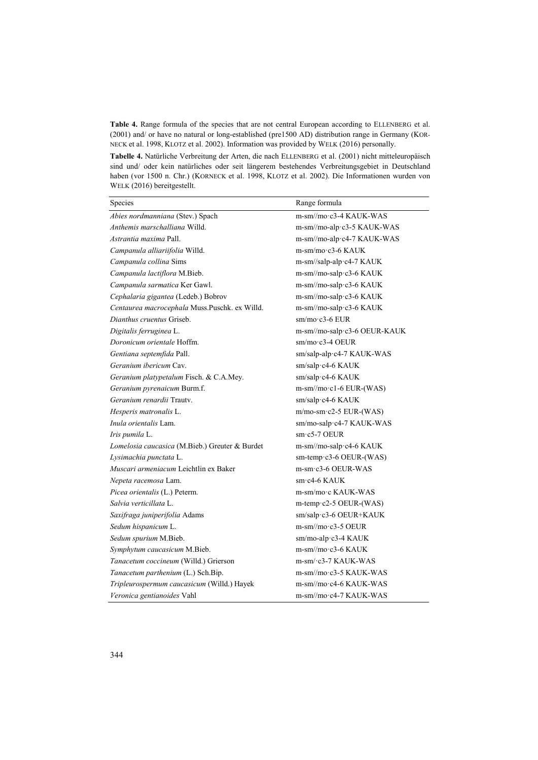**Table 4.** Range formula of the species that are not central European according to ELLENBERG et al. (2001) and/ or have no natural or long-established (pre1500 AD) distribution range in Germany (KOR-NECK et al. 1998, KLOTZ et al. 2002). Information was provided by WELK (2016) personally.

**Tabelle 4.** Natürliche Verbreitung der Arten, die nach ELLENBERG et al. (2001) nicht mitteleuropäisch sind und/ oder kein natürliches oder seit längerem bestehendes Verbreitungsgebiet in Deutschland haben (vor 1500 n. Chr.) (KORNECK et al. 1998, KLOTZ et al. 2002). Die Informationen wurden von WELK (2016) bereitgestellt.

| Species                                        | Range formula                                 |
|------------------------------------------------|-----------------------------------------------|
| Abies nordmanniana (Stev.) Spach               | m-sm//mo·c3-4 KAUK-WAS                        |
| Anthemis marschalliana Willd.                  | m-sm//mo-alp.c3-5 KAUK-WAS                    |
| Astrantia maxima Pall.                         | m-sm//mo-alp-c4-7 KAUK-WAS                    |
| Campanula alliariifolia Willd.                 | m-sm/mo·c3-6 KAUK                             |
| Campanula collina Sims                         | m-sm//salp-alp-c4-7 KAUK                      |
| Campanula lactiflora M.Bieb.                   | m-sm//mo-salp.c3-6 KAUK                       |
| Campanula sarmatica Ker Gawl.                  | m-sm//mo-salp-c3-6 KAUK                       |
| Cephalaria gigantea (Ledeb.) Bobrov            | m-sm//mo-salp.c3-6 KAUK                       |
| Centaurea macrocephala Muss.Puschk. ex Willd.  | m-sm//mo-salp-c3-6 KAUK                       |
| Dianthus cruentus Griseb.                      | $sm/mo$ c3-6 EUR                              |
| Digitalis ferruginea L.                        | m-sm//mo-salp-c3-6 OEUR-KAUK                  |
| Doronicum orientale Hoffm.                     | $sm/mo$ c3-4 OEUR                             |
| Gentiana septemfida Pall.                      | sm/salp-alp·c4-7 KAUK-WAS                     |
| Geranium ibericum Cav.                         | sm/salp·c4-6 KAUK                             |
| Geranium platypetalum Fisch. & C.A.Mey.        | sm/salp·c4-6 KAUK                             |
| Geranium pyrenaicum Burm.f.                    | $m\text{-}sm/mo\text{-}c1\text{-}6$ EUR-(WAS) |
| Geranium renardii Trauty.                      | sm/salp·c4-6 KAUK                             |
| Hesperis matronalis L.                         | $m/mo$ -sm·c2-5 EUR-(WAS)                     |
| <i>Inula orientalis</i> Lam.                   | sm/mo-salp-c4-7 KAUK-WAS                      |
| Iris pumila L.                                 | $sm: c5-7$ OEUR                               |
| Lomelosia caucasica (M.Bieb.) Greuter & Burdet | m-sm//mo-salp-c4-6 KAUK                       |
| Lysimachia punctata L.                         | sm-temp c3-6 OEUR-(WAS)                       |
| Muscari armeniacum Leichtlin ex Baker          | $m$ -sm·c3-6 OEUR-WAS                         |
| Nepeta racemosa Lam.                           | sm·c4-6 KAUK                                  |
| Picea orientalis (L.) Peterm.                  | m-sm/mo·c KAUK-WAS                            |
| Salvia verticillata L.                         | $m$ -temp $\cdot$ c2-5 OEUR-(WAS)             |
| Saxifraga juniperifolia Adams                  | sm/salp·c3-6 OEUR+KAUK                        |
| Sedum hispanicum L.                            | $m-sm/mo$ c3-5 OEUR                           |
| Sedum spurium M.Bieb.                          | sm/mo-alp·c3-4 KAUK                           |
| Symphytum caucasicum M.Bieb.                   | m-sm//mo·c3-6 KAUK                            |
| Tanacetum coccineum (Willd.) Grierson          | m-sm/·c3-7 KAUK-WAS                           |
| Tanacetum parthenium (L.) Sch.Bip.             | $m-sm/mo$ $c3-5$ KAUK-WAS                     |
| Tripleurospermum caucasicum (Willd.) Hayek     | m-sm//mo·c4-6 KAUK-WAS                        |
| Veronica gentianoides Vahl                     | $m\text{-}sm/mo$ $c4$ -7 KAUK-WAS             |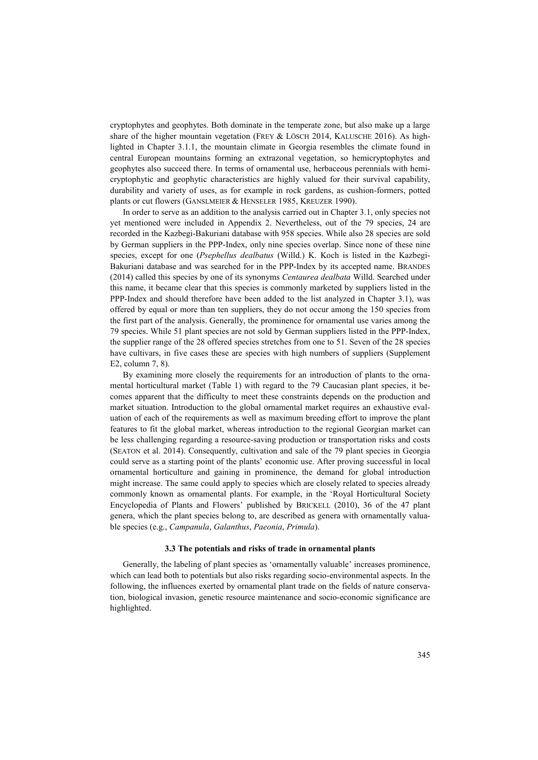cryptophytes and geophytes. Both dominate in the temperate zone, but also make up a large share of the higher mountain vegetation (FREY & LÖSCH 2014, KALUSCHE 2016). As highlighted in Chapter 3.1.1, the mountain climate in Georgia resembles the climate found in central European mountains forming an extrazonal vegetation, so hemicryptophytes and geophytes also succeed there. In terms of ornamental use, herbaceous perennials with hemicryptophytic and geophytic characteristics are highly valued for their survival capability, durability and variety of uses, as for example in rock gardens, as cushion-formers, potted plants or cut flowers (GANSLMEIER & HENSELER 1985, KREUZER 1990).

In order to serve as an addition to the analysis carried out in Chapter 3.1, only species not yet mentioned were included in Appendix 2. Nevertheless, out of the 79 species, 24 are recorded in the Kazbegi-Bakuriani database with 958 species. While also 28 species are sold by German suppliers in the PPP-Index, only nine species overlap. Since none of these nine species, except for one (*Psephellus dealbatus* (Willd.) K. Koch is listed in the Kazbegi-Bakuriani database and was searched for in the PPP-Index by its accepted name. BRANDES (2014) called this species by one of its synonyms *Centaurea dealbata* Willd. Searched under this name, it became clear that this species is commonly marketed by suppliers listed in the PPP-Index and should therefore have been added to the list analyzed in Chapter 3.1), was offered by equal or more than ten suppliers, they do not occur among the 150 species from the first part of the analysis. Generally, the prominence for ornamental use varies among the 79 species. While 51 plant species are not sold by German suppliers listed in the PPP-Index, the supplier range of the 28 offered species stretches from one to 51. Seven of the 28 species have cultivars, in five cases these are species with high numbers of suppliers (Supplement E2, column 7, 8).

By examining more closely the requirements for an introduction of plants to the ornamental horticultural market (Table 1) with regard to the 79 Caucasian plant species, it becomes apparent that the difficulty to meet these constraints depends on the production and market situation. Introduction to the global ornamental market requires an exhaustive evaluation of each of the requirements as well as maximum breeding effort to improve the plant features to fit the global market, whereas introduction to the regional Georgian market can be less challenging regarding a resource-saving production or transportation risks and costs (SEATON et al. 2014). Consequently, cultivation and sale of the 79 plant species in Georgia could serve as a starting point of the plants' economic use. After proving successful in local ornamental horticulture and gaining in prominence, the demand for global introduction might increase. The same could apply to species which are closely related to species already commonly known as ornamental plants. For example, in the 'Royal Horticultural Society Encyclopedia of Plants and Flowers' published by BRICKELL (2010), 36 of the 47 plant genera, which the plant species belong to, are described as genera with ornamentally valuable species (e.g., *Campanula*, *Galanthus*, *Paeonia*, *Primula*).

## **3.3 The potentials and risks of trade in ornamental plants**

Generally, the labeling of plant species as 'ornamentally valuable' increases prominence, which can lead both to potentials but also risks regarding socio-environmental aspects. In the following, the influences exerted by ornamental plant trade on the fields of nature conservation, biological invasion, genetic resource maintenance and socio-economic significance are highlighted.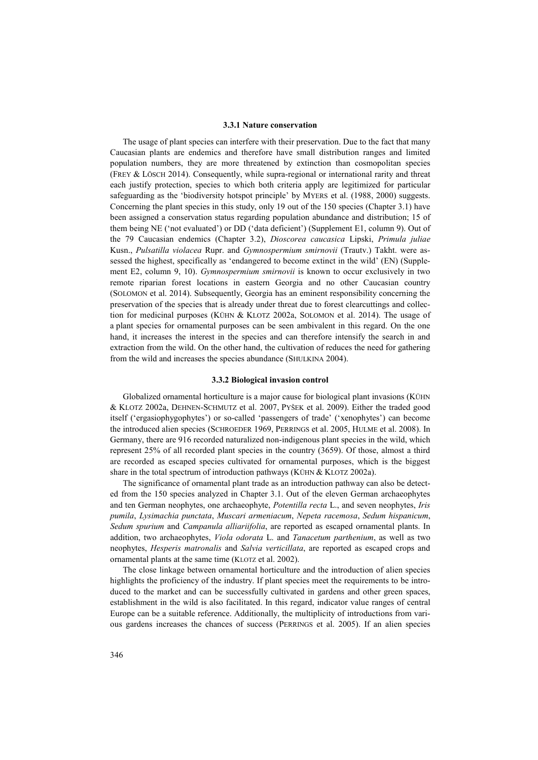## **3.3.1 Nature conservation**

The usage of plant species can interfere with their preservation. Due to the fact that many Caucasian plants are endemics and therefore have small distribution ranges and limited population numbers, they are more threatened by extinction than cosmopolitan species (FREY & LÖSCH 2014). Consequently, while supra-regional or international rarity and threat each justify protection, species to which both criteria apply are legitimized for particular safeguarding as the 'biodiversity hotspot principle' by MYERS et al. (1988, 2000) suggests. Concerning the plant species in this study, only 19 out of the 150 species (Chapter 3.1) have been assigned a conservation status regarding population abundance and distribution; 15 of them being NE ('not evaluated') or DD ('data deficient') (Supplement E1, column 9). Out of the 79 Caucasian endemics (Chapter 3.2), *Dioscorea caucasica* Lipski, *Primula juliae* Kusn., *Pulsatilla violacea* Rupr. and *Gymnospermium smirnovii* (Trautv.) Takht. were assessed the highest, specifically as 'endangered to become extinct in the wild' (EN) (Supplement E2, column 9, 10). *Gymnospermium smirnovii* is known to occur exclusively in two remote riparian forest locations in eastern Georgia and no other Caucasian country (SOLOMON et al. 2014). Subsequently, Georgia has an eminent responsibility concerning the preservation of the species that is already under threat due to forest clearcuttings and collection for medicinal purposes (KÜHN & KLOTZ 2002a, SOLOMON et al. 2014). The usage of a plant species for ornamental purposes can be seen ambivalent in this regard. On the one hand, it increases the interest in the species and can therefore intensify the search in and extraction from the wild. On the other hand, the cultivation of reduces the need for gathering from the wild and increases the species abundance (SHULKINA 2004).

## **3.3.2 Biological invasion control**

Globalized ornamental horticulture is a major cause for biological plant invasions (KÜHN & KLOTZ 2002a, DEHNEN-SCHMUTZ et al. 2007, PYŠEK et al. 2009). Either the traded good itself ('ergasiophygophytes') or so-called 'passengers of trade' ('xenophytes') can become the introduced alien species (SCHROEDER 1969, PERRINGS et al. 2005, HULME et al. 2008). In Germany, there are 916 recorded naturalized non-indigenous plant species in the wild, which represent 25% of all recorded plant species in the country (3659). Of those, almost a third are recorded as escaped species cultivated for ornamental purposes, which is the biggest share in the total spectrum of introduction pathways (KÜHN & KLOTZ 2002a).

The significance of ornamental plant trade as an introduction pathway can also be detected from the 150 species analyzed in Chapter 3.1. Out of the eleven German archaeophytes and ten German neophytes, one archaeophyte, *Potentilla recta* L., and seven neophytes, *Iris pumila*, *Lysimachia punctata*, *Muscari armeniacum*, *Nepeta racemosa*, *Sedum hispanicum*, *Sedum spurium* and *Campanula alliariifolia*, are reported as escaped ornamental plants. In addition, two archaeophytes, *Viola odorata* L. and *Tanacetum parthenium*, as well as two neophytes, *Hesperis matronalis* and *Salvia verticillata*, are reported as escaped crops and ornamental plants at the same time (KLOTZ et al. 2002).

The close linkage between ornamental horticulture and the introduction of alien species highlights the proficiency of the industry. If plant species meet the requirements to be introduced to the market and can be successfully cultivated in gardens and other green spaces, establishment in the wild is also facilitated. In this regard, indicator value ranges of central Europe can be a suitable reference. Additionally, the multiplicity of introductions from various gardens increases the chances of success (PERRINGS et al. 2005). If an alien species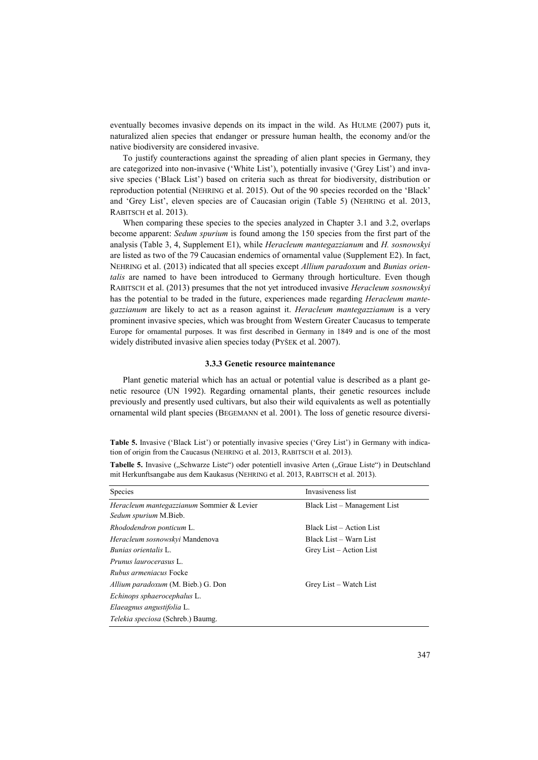eventually becomes invasive depends on its impact in the wild. As HULME (2007) puts it, naturalized alien species that endanger or pressure human health, the economy and/or the native biodiversity are considered invasive.

To justify counteractions against the spreading of alien plant species in Germany, they are categorized into non-invasive ('White List'), potentially invasive ('Grey List') and invasive species ('Black List') based on criteria such as threat for biodiversity, distribution or reproduction potential (NEHRING et al. 2015). Out of the 90 species recorded on the 'Black' and 'Grey List', eleven species are of Caucasian origin (Table 5) (NEHRING et al. 2013, RABITSCH et al. 2013).

When comparing these species to the species analyzed in Chapter 3.1 and 3.2, overlaps become apparent: *Sedum spurium* is found among the 150 species from the first part of the analysis (Table 3, 4, Supplement E1), while *Heracleum mantegazzianum* and *H. sosnowskyi* are listed as two of the 79 Caucasian endemics of ornamental value (Supplement E2). In fact, NEHRING et al. (2013) indicated that all species except *Allium paradoxum* and *Bunias orientalis* are named to have been introduced to Germany through horticulture. Even though RABITSCH et al. (2013) presumes that the not yet introduced invasive *Heracleum sosnowskyi* has the potential to be traded in the future, experiences made regarding *Heracleum mantegazzianum* are likely to act as a reason against it. *Heracleum mantegazzianum* is a very prominent invasive species, which was brought from Western Greater Caucasus to temperate Europe for ornamental purposes. It was first described in Germany in 1849 and is one of the most widely distributed invasive alien species today (PYŠEK et al. 2007).

#### **3.3.3 Genetic resource maintenance**

Plant genetic material which has an actual or potential value is described as a plant genetic resource (UN 1992). Regarding ornamental plants, their genetic resources include previously and presently used cultivars, but also their wild equivalents as well as potentially ornamental wild plant species (BEGEMANN et al. 2001). The loss of genetic resource diversi-

**Table 5.** Invasive ('Black List') or potentially invasive species ('Grey List') in Germany with indication of origin from the Caucasus (NEHRING et al. 2013, RABITSCH et al. 2013).

| Tabelle 5. Invasive ("Schwarze Liste") oder potentiell invasive Arten ("Graue Liste") in Deutschland |
|------------------------------------------------------------------------------------------------------|
| mit Herkunftsangabe aus dem Kaukasus (NEHRING et al. 2013, RABITSCH et al. 2013).                    |

| Species                                                                   | Invasiveness list            |
|---------------------------------------------------------------------------|------------------------------|
| Heracleum mantegazzianum Sommier & Levier<br><i>Sedum spurium</i> M.Bieb. | Black List – Management List |
| Rhododendron ponticum L.                                                  | Black List – Action List     |
| <i>Heracleum sosnowskyi</i> Mandenova                                     | Black List – Warn List       |
| <i>Bunias orientalis</i> L.                                               | Grey List – Action List      |
| Prunus laurocerasus L.                                                    |                              |
| <i>Rubus armeniacus</i> Focke                                             |                              |
| Allium paradoxum (M. Bieb.) G. Don                                        | Grey List – Watch List       |
| Echinops sphaerocephalus L.                                               |                              |
| Elaeagnus angustifolia L.                                                 |                              |
| Telekia speciosa (Schreb.) Baumg.                                         |                              |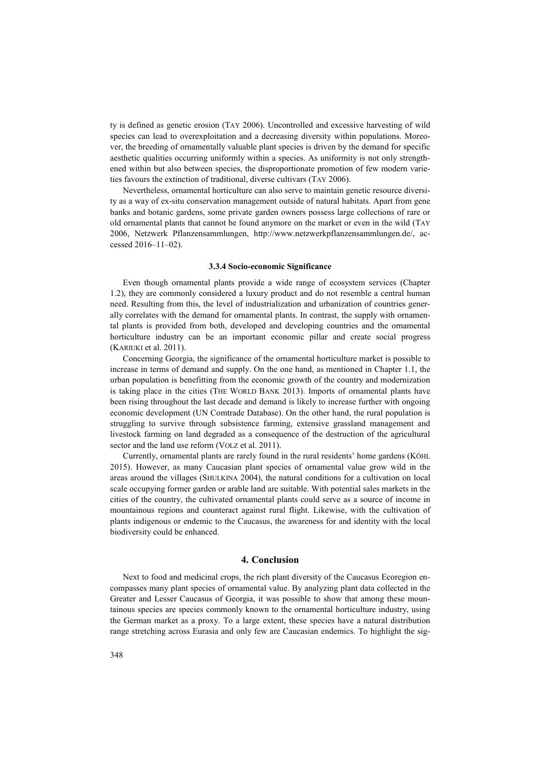ty is defined as genetic erosion (TAY 2006). Uncontrolled and excessive harvesting of wild species can lead to overexploitation and a decreasing diversity within populations. Moreover, the breeding of ornamentally valuable plant species is driven by the demand for specific aesthetic qualities occurring uniformly within a species. As uniformity is not only strengthened within but also between species, the disproportionate promotion of few modern varieties favours the extinction of traditional, diverse cultivars (TAY 2006).

Nevertheless, ornamental horticulture can also serve to maintain genetic resource diversity as a way of ex-situ conservation management outside of natural habitats. Apart from gene banks and botanic gardens, some private garden owners possess large collections of rare or old ornamental plants that cannot be found anymore on the market or even in the wild (TAY 2006, Netzwerk Pflanzensammlungen, http://www.netzwerkpflanzensammlungen.de/, accessed 2016–11–02).

## **3.3.4 Socio-economic Significance**

Even though ornamental plants provide a wide range of ecosystem services (Chapter 1.2), they are commonly considered a luxury product and do not resemble a central human need. Resulting from this, the level of industrialization and urbanization of countries generally correlates with the demand for ornamental plants. In contrast, the supply with ornamental plants is provided from both, developed and developing countries and the ornamental horticulture industry can be an important economic pillar and create social progress (KARIUKI et al. 2011).

Concerning Georgia, the significance of the ornamental horticulture market is possible to increase in terms of demand and supply. On the one hand, as mentioned in Chapter 1.1, the urban population is benefitting from the economic growth of the country and modernization is taking place in the cities (THE WORLD BANK 2013). Imports of ornamental plants have been rising throughout the last decade and demand is likely to increase further with ongoing economic development (UN Comtrade Database). On the other hand, the rural population is struggling to survive through subsistence farming, extensive grassland management and livestock farming on land degraded as a consequence of the destruction of the agricultural sector and the land use reform (VOLZ et al. 2011).

Currently, ornamental plants are rarely found in the rural residents' home gardens (KÖHL 2015). However, as many Caucasian plant species of ornamental value grow wild in the areas around the villages (SHULKINA 2004), the natural conditions for a cultivation on local scale occupying former garden or arable land are suitable. With potential sales markets in the cities of the country, the cultivated ornamental plants could serve as a source of income in mountainous regions and counteract against rural flight. Likewise, with the cultivation of plants indigenous or endemic to the Caucasus, the awareness for and identity with the local biodiversity could be enhanced.

# **4. Conclusion**

Next to food and medicinal crops, the rich plant diversity of the Caucasus Ecoregion encompasses many plant species of ornamental value. By analyzing plant data collected in the Greater and Lesser Caucasus of Georgia, it was possible to show that among these mountainous species are species commonly known to the ornamental horticulture industry, using the German market as a proxy. To a large extent, these species have a natural distribution range stretching across Eurasia and only few are Caucasian endemics. To highlight the sig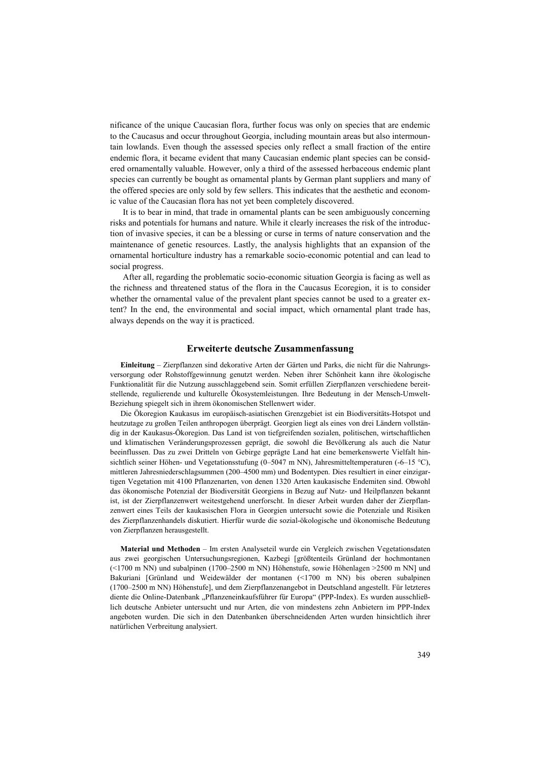nificance of the unique Caucasian flora, further focus was only on species that are endemic to the Caucasus and occur throughout Georgia, including mountain areas but also intermountain lowlands. Even though the assessed species only reflect a small fraction of the entire endemic flora, it became evident that many Caucasian endemic plant species can be considered ornamentally valuable. However, only a third of the assessed herbaceous endemic plant species can currently be bought as ornamental plants by German plant suppliers and many of the offered species are only sold by few sellers. This indicates that the aesthetic and economic value of the Caucasian flora has not yet been completely discovered.

It is to bear in mind, that trade in ornamental plants can be seen ambiguously concerning risks and potentials for humans and nature. While it clearly increases the risk of the introduction of invasive species, it can be a blessing or curse in terms of nature conservation and the maintenance of genetic resources. Lastly, the analysis highlights that an expansion of the ornamental horticulture industry has a remarkable socio-economic potential and can lead to social progress.

After all, regarding the problematic socio-economic situation Georgia is facing as well as the richness and threatened status of the flora in the Caucasus Ecoregion, it is to consider whether the ornamental value of the prevalent plant species cannot be used to a greater extent? In the end, the environmental and social impact, which ornamental plant trade has, always depends on the way it is practiced.

# **Erweiterte deutsche Zusammenfassung**

**Einleitung** – Zierpflanzen sind dekorative Arten der Gärten und Parks, die nicht für die Nahrungsversorgung oder Rohstoffgewinnung genutzt werden. Neben ihrer Schönheit kann ihre ökologische Funktionalität für die Nutzung ausschlaggebend sein. Somit erfüllen Zierpflanzen verschiedene bereitstellende, regulierende und kulturelle Ökosystemleistungen. Ihre Bedeutung in der Mensch-Umwelt-Beziehung spiegelt sich in ihrem ökonomischen Stellenwert wider.

Die Ökoregion Kaukasus im europäisch-asiatischen Grenzgebiet ist ein Biodiversitäts-Hotspot und heutzutage zu großen Teilen anthropogen überprägt. Georgien liegt als eines von drei Ländern vollständig in der Kaukasus-Ökoregion. Das Land ist von tiefgreifenden sozialen, politischen, wirtschaftlichen und klimatischen Veränderungsprozessen geprägt, die sowohl die Bevölkerung als auch die Natur beeinflussen. Das zu zwei Dritteln von Gebirge geprägte Land hat eine bemerkenswerte Vielfalt hinsichtlich seiner Höhen- und Vegetationsstufung (0–5047 m NN), Jahresmitteltemperaturen (-6–15 °C), mittleren Jahresniederschlagsummen (200–4500 mm) und Bodentypen. Dies resultiert in einer einzigartigen Vegetation mit 4100 Pflanzenarten, von denen 1320 Arten kaukasische Endemiten sind. Obwohl das ökonomische Potenzial der Biodiversität Georgiens in Bezug auf Nutz- und Heilpflanzen bekannt ist, ist der Zierpflanzenwert weitestgehend unerforscht. In dieser Arbeit wurden daher der Zierpflanzenwert eines Teils der kaukasischen Flora in Georgien untersucht sowie die Potenziale und Risiken des Zierpflanzenhandels diskutiert. Hierfür wurde die sozial-ökologische und ökonomische Bedeutung von Zierpflanzen herausgestellt.

**Material und Methoden** – Im ersten Analyseteil wurde ein Vergleich zwischen Vegetationsdaten aus zwei georgischen Untersuchungsregionen, Kazbegi [größtenteils Grünland der hochmontanen  $(\leq 1700$  m NN) und subalpinen (1700–2500 m NN) Höhenstufe, sowie Höhenlagen  $\geq 2500$  m NN] und Bakuriani [Grünland und Weidewälder der montanen (<1700 m NN) bis oberen subalpinen (1700–2500 m NN) Höhenstufe], und dem Zierpflanzenangebot in Deutschland angestellt. Für letzteres diente die Online-Datenbank "Pflanzeneinkaufsführer für Europa" (PPP-Index). Es wurden ausschließlich deutsche Anbieter untersucht und nur Arten, die von mindestens zehn Anbietern im PPP-Index angeboten wurden. Die sich in den Datenbanken überschneidenden Arten wurden hinsichtlich ihrer natürlichen Verbreitung analysiert.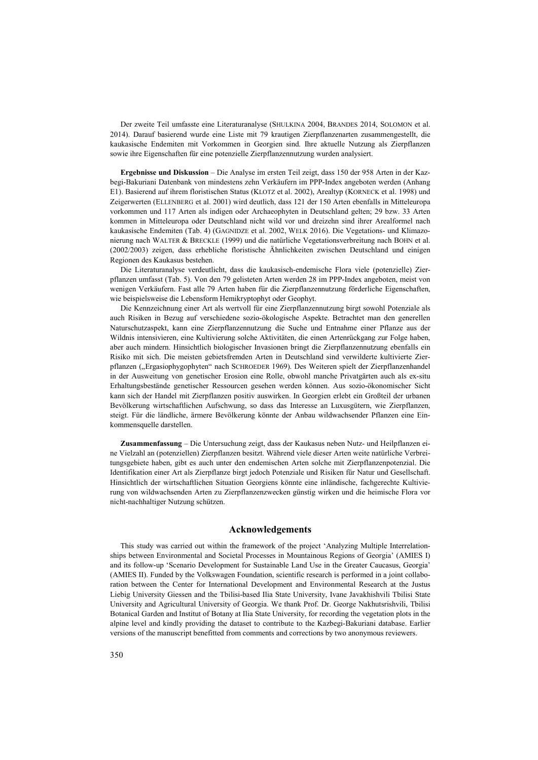Der zweite Teil umfasste eine Literaturanalyse (SHULKINA 2004, BRANDES 2014, SOLOMON et al. 2014). Darauf basierend wurde eine Liste mit 79 krautigen Zierpflanzenarten zusammengestellt, die kaukasische Endemiten mit Vorkommen in Georgien sind. Ihre aktuelle Nutzung als Zierpflanzen sowie ihre Eigenschaften für eine potenzielle Zierpflanzennutzung wurden analysiert.

**Ergebnisse und Diskussion** – Die Analyse im ersten Teil zeigt, dass 150 der 958 Arten in der Kazbegi-Bakuriani Datenbank von mindestens zehn Verkäufern im PPP-Index angeboten werden (Anhang E1). Basierend auf ihrem floristischen Status (KLOTZ et al. 2002), Arealtyp (KORNECK et al. 1998) und Zeigerwerten (ELLENBERG et al. 2001) wird deutlich, dass 121 der 150 Arten ebenfalls in Mitteleuropa vorkommen und 117 Arten als indigen oder Archaeophyten in Deutschland gelten; 29 bzw. 33 Arten kommen in Mitteleuropa oder Deutschland nicht wild vor und dreizehn sind ihrer Arealformel nach kaukasische Endemiten (Tab. 4) (GAGNIDZE et al. 2002, WELK 2016). Die Vegetations- und Klimazonierung nach WALTER & BRECKLE (1999) und die natürliche Vegetationsverbreitung nach BOHN et al. (2002/2003) zeigen, dass erhebliche floristische Ähnlichkeiten zwischen Deutschland und einigen Regionen des Kaukasus bestehen.

Die Literaturanalyse verdeutlicht, dass die kaukasisch-endemische Flora viele (potenzielle) Zierpflanzen umfasst (Tab. 5). Von den 79 gelisteten Arten werden 28 im PPP-Index angeboten, meist von wenigen Verkäufern. Fast alle 79 Arten haben für die Zierpflanzennutzung förderliche Eigenschaften, wie beispielsweise die Lebensform Hemikryptophyt oder Geophyt.

Die Kennzeichnung einer Art als wertvoll für eine Zierpflanzennutzung birgt sowohl Potenziale als auch Risiken in Bezug auf verschiedene sozio-ökologische Aspekte. Betrachtet man den generellen Naturschutzaspekt, kann eine Zierpflanzennutzung die Suche und Entnahme einer Pflanze aus der Wildnis intensivieren, eine Kultivierung solche Aktivitäten, die einen Artenrückgang zur Folge haben, aber auch mindern. Hinsichtlich biologischer Invasionen bringt die Zierpflanzennutzung ebenfalls ein Risiko mit sich. Die meisten gebietsfremden Arten in Deutschland sind verwilderte kultivierte Zierpflanzen ("Ergasiophygophyten" nach SCHROEDER 1969). Des Weiteren spielt der Zierpflanzenhandel in der Ausweitung von genetischer Erosion eine Rolle, obwohl manche Privatgärten auch als ex-situ Erhaltungsbestände genetischer Ressourcen gesehen werden können. Aus sozio-ökonomischer Sicht kann sich der Handel mit Zierpflanzen positiv auswirken. In Georgien erlebt ein Großteil der urbanen Bevölkerung wirtschaftlichen Aufschwung, so dass das Interesse an Luxusgütern, wie Zierpflanzen, steigt. Für die ländliche, ärmere Bevölkerung könnte der Anbau wildwachsender Pflanzen eine Einkommensquelle darstellen.

**Zusammenfassung** – Die Untersuchung zeigt, dass der Kaukasus neben Nutz- und Heilpflanzen eine Vielzahl an (potenziellen) Zierpflanzen besitzt. Während viele dieser Arten weite natürliche Verbreitungsgebiete haben, gibt es auch unter den endemischen Arten solche mit Zierpflanzenpotenzial. Die Identifikation einer Art als Zierpflanze birgt jedoch Potenziale und Risiken für Natur und Gesellschaft. Hinsichtlich der wirtschaftlichen Situation Georgiens könnte eine inländische, fachgerechte Kultivierung von wildwachsenden Arten zu Zierpflanzenzwecken günstig wirken und die heimische Flora vor nicht-nachhaltiger Nutzung schützen.

# **Acknowledgements**

This study was carried out within the framework of the project 'Analyzing Multiple Interrelationships between Environmental and Societal Processes in Mountainous Regions of Georgia' (AMIES I) and its follow-up 'Scenario Development for Sustainable Land Use in the Greater Caucasus, Georgia' (AMIES II). Funded by the Volkswagen Foundation, scientific research is performed in a joint collaboration between the Center for International Development and Environmental Research at the Justus Liebig University Giessen and the Tbilisi-based Ilia State University, Ivane Javakhishvili Tbilisi State University and Agricultural University of Georgia. We thank Prof. Dr. George Nakhutsrishvili, Tbilisi Botanical Garden and Institut of Botany at Ilia State University, for recording the vegetation plots in the alpine level and kindly providing the dataset to contribute to the Kazbegi-Bakuriani database. Earlier versions of the manuscript benefitted from comments and corrections by two anonymous reviewers.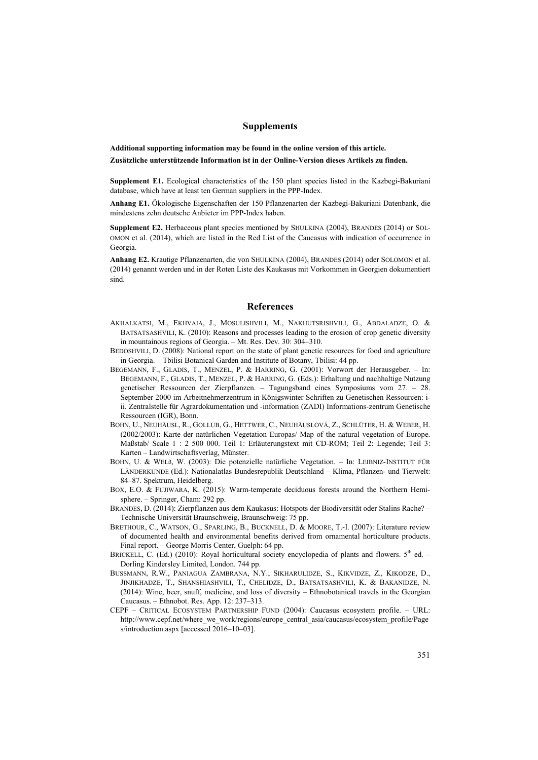# **Supplements**

**Additional supporting information may be found in the online version of this article. Zusätzliche unterstützende Information ist in der Online-Version dieses Artikels zu finden.**

**Supplement E1.** Ecological characteristics of the 150 plant species listed in the Kazbegi-Bakuriani database, which have at least ten German suppliers in the PPP-Index.

**Anhang E1.** Ökologische Eigenschaften der 150 Pflanzenarten der Kazbegi-Bakuriani Datenbank, die mindestens zehn deutsche Anbieter im PPP-Index haben.

**Supplement E2.** Herbaceous plant species mentioned by SHULKINA (2004), BRANDES (2014) or SOL-OMON et al. (2014), which are listed in the Red List of the Caucasus with indication of occurrence in Georgia.

**Anhang E2.** Krautige Pflanzenarten, die von SHULKINA (2004), BRANDES (2014) oder SOLOMON et al. (2014) genannt werden und in der Roten Liste des Kaukasus mit Vorkommen in Georgien dokumentiert sind.

#### **References**

- AKHALKATSI, M., EKHVAIA, J., MOSULISHVILI, M., NAKHUTSRISHVILI, G., ABDALADZE, O. & BATSATSASHVILI, K. (2010): Reasons and processes leading to the erosion of crop genetic diversity in mountainous regions of Georgia. – Mt. Res. Dev. 30: 304–310.
- BEDOSHVILI, D. (2008): National report on the state of plant genetic resources for food and agriculture in Georgia. – Tbilisi Botanical Garden and Institute of Botany, Tbilisi: 44 pp.
- BEGEMANN, F., GLADIS, T., MENZEL, P. & HARRING, G. (2001): Vorwort der Herausgeber. In: BEGEMANN, F., GLADIS, T., MENZEL, P. & HARRING, G. (Eds.): Erhaltung und nachhaltige Nutzung genetischer Ressourcen der Zierpflanzen. – Tagungsband eines Symposiums vom 27. – 28. September 2000 im Arbeitnehmerzentrum in Königswinter Schriften zu Genetischen Ressourcen: iii. Zentralstelle für Agrardokumentation und -information (ZADI) Informations-zentrum Genetische Ressourcen (IGR), Bonn.
- BOHN, U., NEUHÄUSL, R., GOLLUB, G., HETTWER, C., NEUHÄUSLOVÁ, Z., SCHLÜTER, H. & WEBER, H. (2002/2003): Karte der natürlichen Vegetation Europas/ Map of the natural vegetation of Europe. Maßstab/ Scale 1 : 2 500 000. Teil 1: Erläuterungstext mit CD-ROM; Teil 2: Legende; Teil 3: Karten – Landwirtschaftsverlag, Münster.
- BOHN, U. & WELß, W. (2003): Die potenzielle natürliche Vegetation. In: LEIBNIZ-INSTITUT FÜR LÄNDERKUNDE (Ed.): Nationalatlas Bundesrepublik Deutschland – Klima, Pflanzen- und Tierwelt: 84–87. Spektrum, Heidelberg.
- BOX, E.O. & FUJIWARA, K. (2015): Warm-temperate deciduous forests around the Northern Hemisphere. – Springer, Cham: 292 pp.
- BRANDES, D. (2014): Zierpflanzen aus dem Kaukasus: Hotspots der Biodiversität oder Stalins Rache? Technische Universität Braunschweig, Braunschweig: 75 pp.
- BRETHOUR, C., WATSON, G., SPARLING, B., BUCKNELL, D. & MOORE, T.-I. (2007): Literature review of documented health and environmental benefits derived from ornamental horticulture products. Final report. – George Morris Center, Guelph: 64 pp.
- BRICKELL, C. (Ed.) (2010): Royal horticultural society encyclopedia of plants and flowers. 5<sup>th</sup> ed. -Dorling Kindersley Limited, London. 744 pp.
- BUSSMANN, R.W., PANIAGUA ZAMBRANA, N.Y., SIKHARULIDZE, S., KIKVIDZE, Z., KIKODZE, D., JINJIKHADZE, T., SHANSHIASHVILI, T., CHELIDZE, D., BATSATSASHVILI, K. & BAKANIDZE, N. (2014): Wine, beer, snuff, medicine, and loss of diversity – Ethnobotanical travels in the Georgian Caucasus. – Ethnobot. Res. App. 12: 237–313.
- CEPF CRITICAL ECOSYSTEM PARTNERSHIP FUND (2004): Caucasus ecosystem profile. URL: http://www.cepf.net/where\_we\_work/regions/europe\_central\_asia/caucasus/ecosystem\_profile/Page s/introduction.aspx [accessed 2016–10–03].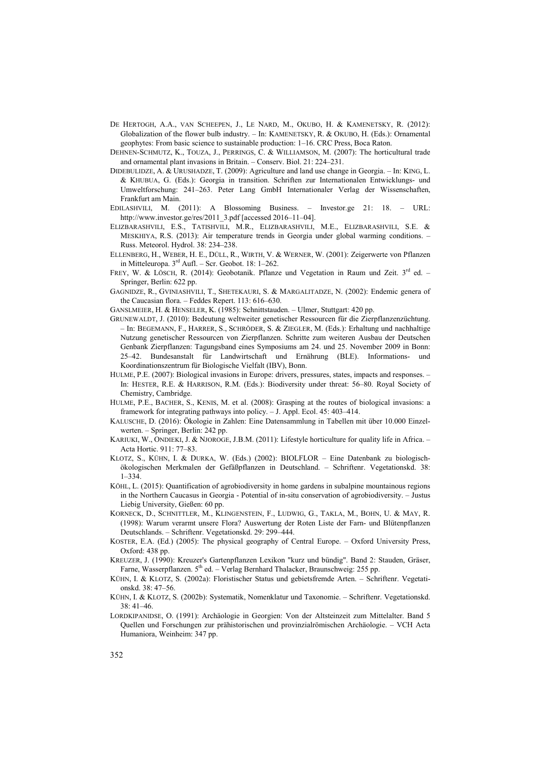- DE HERTOGH, A.A., VAN SCHEEPEN, J., LE NARD, M., OKUBO, H. & KAMENETSKY, R. (2012): Globalization of the flower bulb industry. – In: KAMENETSKY, R. & OKUBO, H. (Eds.): Ornamental geophytes: From basic science to sustainable production: 1–16. CRC Press, Boca Raton.
- DEHNEN-SCHMUTZ, K., TOUZA, J., PERRINGS, C. & WILLIAMSON, M. (2007): The horticultural trade and ornamental plant invasions in Britain. – Conserv. Biol. 21: 224–231.
- DIDEBULIDZE, A. & URUSHADZE, T. (2009): Agriculture and land use change in Georgia. In: KING, L. & KHUBUA, G. (Eds.): Georgia in transition. Schriften zur Internationalen Entwicklungs- und Umweltforschung: 241–263. Peter Lang GmbH Internationaler Verlag der Wissenschaften, Frankfurt am Main.
- EDILASHVILI, M. (2011): A Blossoming Business. Investor.ge 21: 18. URL: [http://www.investor.ge/res/2011\\_3.pdf](http://www.investor.ge/res/2011_3.pdf) [accessed 2016–11–04].
- ELIZBARASHVILI, E.S., TATISHVILI, M.R., ELIZBARASHVILI, M.E., ELIZBARASHVILI, S.E. & MESKHIYA, R.S. (2013): Air temperature trends in Georgia under global warming conditions. – Russ. Meteorol. Hydrol. 38: 234–238.
- ELLENBERG, H., WEBER, H. E., DÜLL, R., WIRTH, V. & WERNER, W. (2001): Zeigerwerte von Pflanzen in Mitteleuropa.  $3<sup>rd</sup>$  Aufl. – Scr. Geobot. 18: 1–262.
- FREY, W. & LÖSCH, R. (2014): Geobotanik. Pflanze und Vegetation in Raum und Zeit. 3rd ed. Springer, Berlin: 622 pp.
- GAGNIDZE, R., GVINIASHVILI, T., SHETEKAURI, S. & MARGALITADZE, N. (2002): Endemic genera of the Caucasian flora. – Feddes Repert. 113: 616–630.
- GANSLMEIER, H. & HENSELER, K. (1985): Schnittstauden. Ulmer, Stuttgart: 420 pp.
- GRUNEWALDT, J. (2010): Bedeutung weltweiter genetischer Ressourcen für die Zierpflanzenzüchtung. – In: BEGEMANN, F., HARRER, S., SCHRÖDER, S. & ZIEGLER, M. (Eds.): Erhaltung und nachhaltige Nutzung genetischer Ressourcen von Zierpflanzen. Schritte zum weiteren Ausbau der Deutschen Genbank Zierpflanzen: Tagungsband eines Symposiums am 24. und 25. November 2009 in Bonn: 25–42. Bundesanstalt für Landwirtschaft und Ernährung (BLE). Informations- und Koordinationszentrum für Biologische Vielfalt (IBV), Bonn.
- HULME, P.E. (2007): Biological invasions in Europe: drivers, pressures, states, impacts and responses. In: HESTER, R.E. & HARRISON, R.M. (Eds.): Biodiversity under threat: 56–80. Royal Society of Chemistry, Cambridge.
- HULME, P.E., BACHER, S., KENIS, M. et al. (2008): Grasping at the routes of biological invasions: a framework for integrating pathways into policy. – J. Appl. Ecol. 45: 403–414.
- KALUSCHE, D. (2016): Ökologie in Zahlen: Eine Datensammlung in Tabellen mit über 10.000 Einzelwerten. – Springer, Berlin: 242 pp.
- KARIUKI, W., ONDIEKI, J. & NJOROGE, J.B.M. (2011): Lifestyle horticulture for quality life in Africa. Acta Hortic. 911: 77–83.
- KLOTZ, S., KÜHN, I. & DURKA, W. (Eds.) (2002): [BIOLFLOR](http://www.ufz.de/biolflor/)  Eine Datenbank zu biologischökologischen Merkmalen der Gefäßpflanzen in Deutschland. – Schriftenr. Vegetationskd. 38: 1–334.
- KÖHL, L. (2015): Quantification of agrobiodiversity in home gardens in subalpine mountainous regions in the Northern Caucasus in Georgia - Potential of in-situ conservation of agrobiodiversity. – Justus Liebig University, Gießen: 60 pp.
- KORNECK, D., SCHNITTLER, M., KLINGENSTEIN, F., LUDWIG, G., TAKLA, M., BOHN, U. & MAY, R. (1998): Warum verarmt unsere Flora? Auswertung der Roten Liste der Farn- und Blütenpflanzen Deutschlands. – Schriftenr. Vegetationskd. 29: 299–444.
- KOSTER, E.A. (Ed.) (2005): The physical geography of Central Europe. Oxford University Press, Oxford: 438 pp.
- KREUZER, J. (1990): Kreuzer's Gartenpflanzen Lexikon "kurz und bündig". Band 2: Stauden, Gräser, Farne, Wasserpflanzen.  $5<sup>th</sup>$  ed. – Verlag Bernhard Thalacker, Braunschweig: 255 pp.
- KÜHN, I. & KLOTZ, S. (2002a): Floristischer Status und gebietsfremde Arten. Schriftenr. Vegetationskd. 38: 47–56.
- KÜHN, I. & KLOTZ, S. (2002b): Systematik, Nomenklatur und Taxonomie. Schriftenr. Vegetationskd.  $38 \cdot 41 - 46$
- LORDKIPANIDSE, O. (1991): Archäologie in Georgien: Von der Altsteinzeit zum Mittelalter. Band 5 Quellen und Forschungen zur prähistorischen und provinzialrömischen Archäologie. – VCH Acta Humaniora, Weinheim: 347 pp.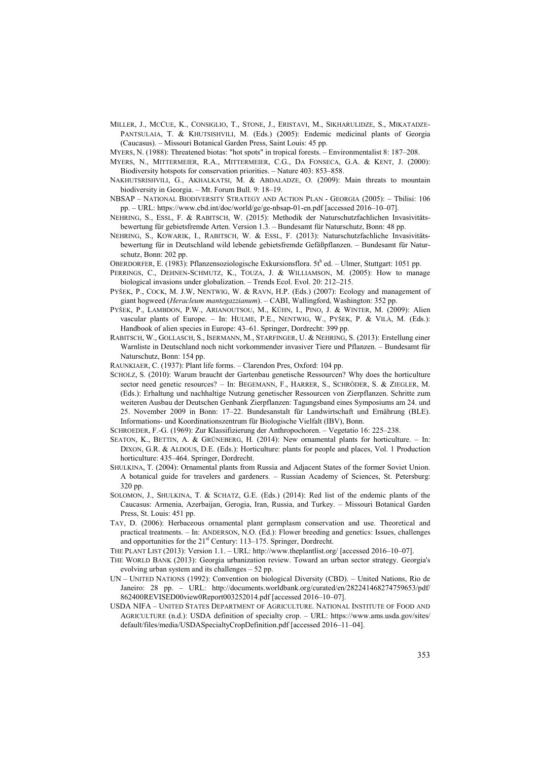MILLER, J., MCCUE, K., CONSIGLIO, T., STONE, J., ERISTAVI, M., SIKHARULIDZE, S., MIKATADZE-PANTSULAIA, T. & KHUTSISHVILI, M. (Eds.) (2005): Endemic medicinal plants of Georgia (Caucasus). – Missouri Botanical Garden Press, Saint Louis: 45 pp.

MYERS, N. (1988): Threatened biotas: "hot spots" in tropical forests. – Environmentalist 8: 187–208.

- MYERS, N., MITTERMEIER, R.A., MITTERMEIER, C.G., DA FONSECA, G.A. & KENT, J. (2000): Biodiversity hotspots for conservation priorities. – Nature 403: 853–858.
- NAKHUTSRISHVILI, G., AKHALKATSI, M. & ABDALADZE, O. (2009): Main threats to mountain biodiversity in Georgia. – Mt. Forum Bull. 9: 18–19.
- NBSAP NATIONAL BIODIVERSITY STRATEGY AND ACTION PLAN GEORGIA (2005): Tbilisi: 106 pp. – URL: https://www.cbd.int/doc/world/ge/ge-nbsap-01-en.pdf [accessed 2016–10–07].
- NEHRING, S., ESSL, F. & RABITSCH, W. (2015): Methodik der Naturschutzfachlichen Invasivitätsbewertung für gebietsfremde Arten. Version 1.3. – Bundesamt für Naturschutz, Bonn: 48 pp.
- NEHRING, S., KOWARIK, I., RABITSCH, W. & ESSL, F. (2013): Naturschutzfachliche Invasivitätsbewertung für in Deutschland wild lebende gebietsfremde Gefäßpflanzen. – Bundesamt für Naturschutz, Bonn: 202 pp.

OBERDORFER, E. (1983): Pflanzensoziologische Exkursionsflora. 5th ed. - Ulmer, Stuttgart: 1051 pp.

- PERRINGS, C., DEHNEN-SCHMUTZ, K., TOUZA, J. & WILLIAMSON, M. (2005): How to manage biological invasions under globalization. – Trends Ecol. Evol. 20: 212–215.
- PYŠEK, P., COCK, M. J.W, NENTWIG, W. & RAVN, H.P. (Eds.) (2007): Ecology and management of giant hogweed (*Heracleum mantegazzianum*). – CABI, Wallingford, Washington: 352 pp.
- PYŠEK, P., LAMBDON, P.W., ARIANOUTSOU, M., KÜHN, I., PINO, J. & WINTER, M. (2009): Alien vascular plants of Europe. – In: HULME, P.E., NENTWIG, W., PYŠEK, P. & VILÀ, M. (Eds.): Handbook of alien species in Europe: 43–61. Springer, Dordrecht: 399 pp.
- RABITSCH, W., GOLLASCH, S., ISERMANN, M., STARFINGER, U. & NEHRING, S. (2013): Erstellung einer Warnliste in Deutschland noch nicht vorkommender invasiver Tiere und Pflanzen. – Bundesamt für Naturschutz, Bonn: 154 pp.
- RAUNKIAER, C. (1937): Plant life forms. Clarendon Pres, Oxford: 104 pp.
- SCHOLZ, S. (2010): Warum braucht der Gartenbau genetische Ressourcen? Why does the horticulture sector need genetic resources? – In: BEGEMANN, F., HARRER, S., SCHRÖDER, S. & ZIEGLER, M. (Eds.): Erhaltung und nachhaltige Nutzung genetischer Ressourcen von Zierpflanzen. Schritte zum weiteren Ausbau der Deutschen Genbank Zierpflanzen: Tagungsband eines Symposiums am 24. und 25. November 2009 in Bonn: 17–22. Bundesanstalt für Landwirtschaft und Ernährung (BLE). Informations- und Koordinationszentrum für Biologische Vielfalt (IBV), Bonn.
- SCHROEDER, F.-G. (1969): Zur Klassifizierung der Anthropochoren. Vegetatio 16: 225–238.
- SEATON, K., BETTIN, A. & GRÜNEBERG, H. (2014): New ornamental plants for horticulture. In: DIXON, G.R. & ALDOUS, D.E. (Eds.): Horticulture: plants for people and places, Vol. 1 Production horticulture: 435–464. Springer, Dordrecht.
- SHULKINA, T. (2004): Ornamental plants from Russia and Adjacent States of the former Soviet Union. A botanical guide for travelers and gardeners. – Russian Academy of Sciences, St. Petersburg: 320 pp.
- SOLOMON, J., SHULKINA, T. & SCHATZ, G.E. (Eds.) (2014): Red list of the endemic plants of the Caucasus: Armenia, Azerbaijan, Gerogia, Iran, Russia, and Turkey. – Missouri Botanical Garden Press, St. Louis: 451 pp.
- TAY, D. (2006): Herbaceous ornamental plant germplasm conservation and use. Theoretical and practical treatments. – In: ANDERSON, N.O. (Ed.): Flower breeding and genetics: Issues, challenges and opportunities for the  $21<sup>st</sup>$  Century: 113–175. Springer, Dordrecht.
- THE PLANT LIST (2013): Version 1.1. URL: http://www.theplantlist.org/ [accessed 2016–10–07].
- THE WORLD BANK (2013): Georgia urbanization review. Toward an urban sector strategy. Georgia's evolving urban system and its challenges – 52 pp.
- UN UNITED NATIONS (1992): Convention on biological Diversity (CBD). United Nations, Rio de Janeiro: 28 pp. – URL: http://documents.worldbank.org/curated/en/282241468274759653/pdf/ 862400REVISED00view0Report003252014.pdf [accessed 2016–10–07].
- USDA NIFA UNITED STATES DEPARTMENT OF AGRICULTURE. NATIONAL INSTITUTE OF FOOD AND AGRICULTURE (n.d.): USDA definition of specialty crop. – URL: https://www.ams.usda.gov/sites/ default/files/media/USDASpecialtyCropDefinition.pdf [accessed 2016–11–04].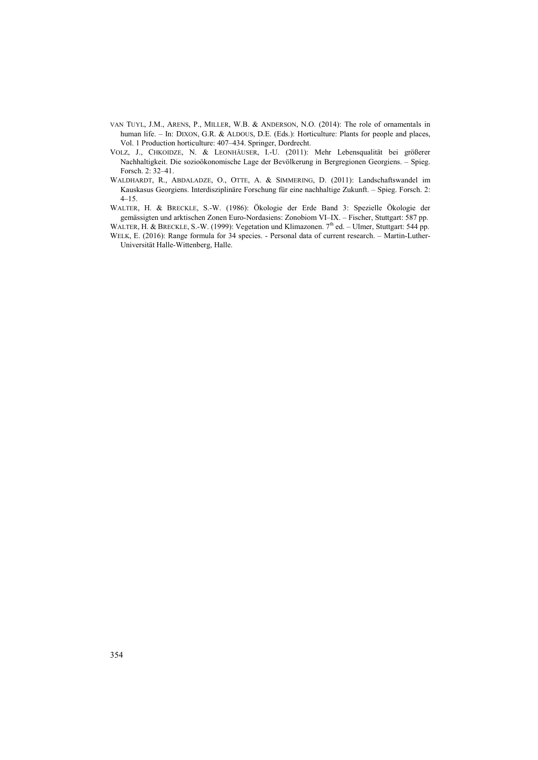- VAN TUYL, J.M., ARENS, P., MILLER, W.B. & ANDERSON, N.O. (2014): The role of ornamentals in human life. - In: DIXON, G.R. & ALDOUS, D.E. (Eds.): Horticulture: Plants for people and places, Vol. 1 Production horticulture: 407–434. Springer, Dordrecht.
- VOLZ, J., CHKOIDZE, N. & LEONHÄUSER, I.-U. (2011): Mehr Lebensqualität bei größerer Nachhaltigkeit. Die sozioökonomische Lage der Bevölkerung in Bergregionen Georgiens. – Spieg. Forsch. 2: 32–41.
- WALDHARDT, R., ABDALADZE, O., OTTE, A. & SIMMERING, D. (2011): Landschaftswandel im Kauskasus Georgiens. Interdisziplinäre Forschung für eine nachhaltige Zukunft. – Spieg. Forsch. 2: 4–15.
- WALTER, H. & BRECKLE, S.-W. (1986): Ökologie der Erde Band 3: Spezielle Ökologie der gemässigten und arktischen Zonen Euro-Nordasiens: Zonobiom VI–IX. – Fischer, Stuttgart: 587 pp.
- WALTER, H. & BRECKLE, S.-W. (1999): Vegetation und Klimazonen. 7<sup>th</sup> ed. Ulmer, Stuttgart: 544 pp. WELK, E. (2016): Range formula for 34 species. - Personal data of current research. – Martin-Luther-Universität Halle-Wittenberg, Halle.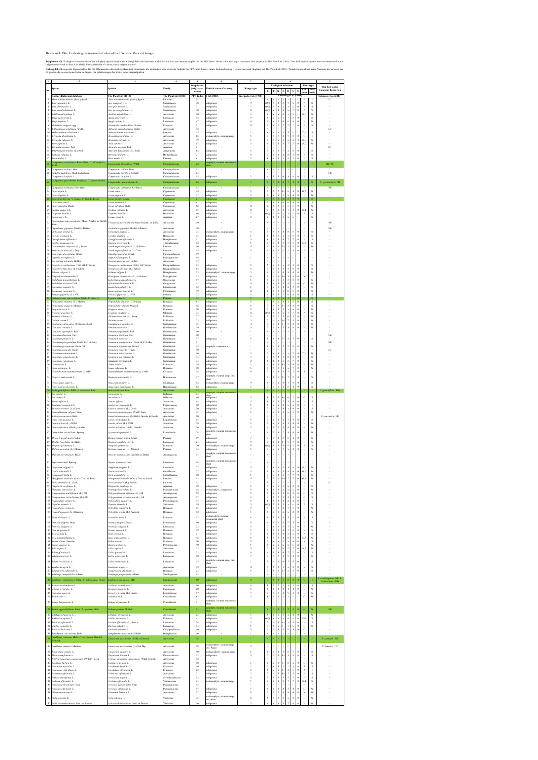Supplement E1. Ecological characteristics of the 150 plant species listed in the Kazbegi-Bakuriani database, which have at least ten German suppliers in the PPP-Index. Green color marking = synonyms after adaption to The P original source and no data is available. For explanation of values, check original sources.

Anhang E1. Ökologische Eigenschaften der 150 Pflanzenarten der Kazbegi-Bakuriani Datenbank, die mindestens zehn deutsche Anbieter im PPP-Index haben. Grüne Farbmarkierung = Synonyme nach Abgleich mit The Plant List (2013). Originalquelle, so dass keine Daten vorliegen. Für Erläuterungen der Werte, siehe Originalquellen.

|                 | $\overline{2}$                                                                        | $\mathbf{3}$                                                                         | $\boldsymbol{4}$                  | 5<br>Supplier no.         | 6                                                       | 7                                                    |                       | <b>Ecological behaviour</b>                                                     |                                        | 8                                        |                                     |                                                      | Plant type               | $\boldsymbol{9}$<br><b>Red List status</b> |
|-----------------|---------------------------------------------------------------------------------------|--------------------------------------------------------------------------------------|-----------------------------------|---------------------------|---------------------------------------------------------|------------------------------------------------------|-----------------------|---------------------------------------------------------------------------------|----------------------------------------|------------------------------------------|-------------------------------------|------------------------------------------------------|--------------------------|--------------------------------------------|
| No.             | <b>Species</b>                                                                        | <b>Species</b>                                                                       | Family                            | $($ orig. + acc.<br>name) | Floristic status Germany                                | Range type                                           | L                     | K<br>т                                                                          | F                                      | $\bf{R}$                                 | $\mathbf N$                         | Life<br>form                                         | Leaf<br>habit            | <b>Caucasus Ecoregion</b>                  |
|                 | Kazbegi-Bakuriani database<br>Abies nordmanniana (Stev.) Spach                        | The Plant List (2013)<br>Abies nordmanniana (Stev.) Spach                            | The Plant List (2013)<br>Pinaceae | PPP-Index<br>37           | <b>UFZ</b> (2002)                                       | Korneck et al. (1998)                                | $\bullet$             |                                                                                 | Ellenberg et al. (2001)                |                                          |                                     |                                                      |                          | Solomon et al. (2014)<br>LC                |
| 2<br>3          | Acer campestre L.<br>Acer platanoides L.                                              | Acer campestre L.<br>Acer platanoides L.                                             | Sapindaceae<br>Sapindaceae        | 38<br>31                  | indigenous<br>indigenous                                |                                                      | ((5))<br>((4))        | $\overline{4}$<br>-6<br>-6<br>$\overline{4}$                                    | 5<br>$\mathbf x$                       | -7<br>$\mathbf{x}$                       | 6<br>$\mathbf X$                    | P<br>$\Omega$<br>P<br>$\theta$                       | S<br>S                   |                                            |
| 4<br>5          | Acer pseudoplatanus L.<br>Achillea millefolium L.                                     | Acer pseudoplatanus L.<br>Achillea millefolium L.                                    | Sapindaceae<br>Asteraceae         | 30<br>40                  | indigenous<br>indigenous                                |                                                      | ((4))<br>8            | $\overline{4}$<br>$\mathbf{x}$<br>$\mathbf{x}$<br>$\mathbf{x}$                  | 6<br>$\overline{4}$                    | $\mathbf x$<br>$\mathbf{x}$              | $\overline{7}$<br>5 <sup>5</sup>    | $\Omega$<br>P<br>H,C                                 | <sub>S</sub><br>W        |                                            |
| 6               | Ajuga genevensis L.<br>Ajuga reptans L.                                               | Ajuga genevensis L.<br>Ajuga reptans L.                                              | Lamiaceae<br>Lamiaceae            | 12<br>47                  | indigenous<br>indigenous                                |                                                      | 8<br>-6               | X<br>$\boldsymbol{\mathrm{x}}$                                                  | 3<br>6                                 | 6                                        | $\overline{2}$<br>6                 | H<br>H                                               | S<br>W                   |                                            |
| 8               | Alchemilla vulgaris agg.                                                              | Alchemilla xanthochlora Rothm.                                                       | Rosaceae                          | 31                        | indigenous                                              | 11                                                   | -6                    |                                                                                 |                                        |                                          | $\overline{?}$                      | H<br>$\Omega$                                        | S<br>$\bullet$           |                                            |
| 9<br>10         | Anthemis marschalliana Willd.<br>Anthoxanthum odoratum L                              | Anthemis marschalliana Willd.<br>Anthoxanthum odoratum L.                            | Asteraceae<br>Poaceae             | $42\,$<br>15              | indigenous                                              |                                                      | $\mathbf{x}$          | $\mathbf{x}$                                                                    | X                                      | -5                                       | $\mathbf X$                         | T,H                                                  | S                        | LC                                         |
|                 | 11 Artemisia absinthium L.<br>12 Artemisia vulgaris L.                                | Artemisia absinthium L.<br>Artemisia vulgaris L.                                     | Asteraceae<br>Asteraceae          | 65<br>49                  | archaeophyte, escaped crop<br>indigenous                |                                                      | $\mathbf Q$           | -6<br>6                                                                         | $\overline{4}$<br>6                    | $\overline{7}$<br>$\mathbf{x}$           | 8<br>8                              | $\mathbf C$<br>$\Omega$<br>H,C<br>$\Omega$           | <sub>S</sub>             |                                            |
|                 | 13 Aster alpinus L.<br>14 Astrantia maxima Pall.                                      | Aster alpinus L.<br>Astrantia maxima Pall.                                           | Asteraceae<br>Apiaceae            | 47<br>11                  | indigenous                                              |                                                      | $\mathbf Q$           | 2<br>5 <sup>1</sup>                                                             | 5                                      | 7                                        | $\overline{2}$                      | H,C<br>$\theta$                                      | W                        | NT                                         |
|                 | 15 Athyrium filix-femina (L.) Roth<br>16 Berberis vulgaris L.                         | Athyrium filix-femina (L.) Roth<br>Berberis vulgaris L.                              | Athyriaceae<br>Berberidaceae      | 62<br>21                  | indigenous<br>indigenous                                |                                                      | $\overline{3}$        | 3<br>$\mathbf{x}$<br>$\overline{4}$<br>$\mathbf{x}$                             | $\tau$<br>$\overline{4}$               | $\mathbf{x}$<br>8                        | 6<br>3 <sup>7</sup>                 | H<br>$\Omega$<br>$\overline{0}$<br>N                 | S<br>S                   |                                            |
|                 | 17 Briza media L.<br>Campanula ochroleuca Kem.-Nath., C. alliariifolia                | Briza media L.                                                                       | Poaceae                           | 61                        | indigenous<br>neophyte, escaped ornamental              | 5                                                    | 8                     | $\mathbf{x}$                                                                    | $\mathbf X$                            | $\boldsymbol{\mathrm{X}}$                | $\overline{c}$                      | H<br>$\Omega$                                        | S                        |                                            |
| 18<br>19        | Willd.<br>Campanula collina Sims                                                      | Campanula alliariifolia Willd.<br>Campanula collina Sims                             | Campanulaceae<br>Campanulaceae    | 22<br>12                  | plant                                                   | ٠.                                                   | . .                   | . н.                                                                            | $\bullet$                              | $\bullet$                                | $\bullet$ .                         | $\bullet$                                            | ×<br>$\bullet$           | DD, NE                                     |
| 21              | 20 Gadellia lactiflora (Bieb.)Schulkina<br>Campanula latifolia L.                     | Campanula lactiflora M.Bieb.<br>Campanula latifolia L.                               | Campanulaceae<br>Campanulaceae    | 24<br>15                  | indigenous                                              | $\overline{2}$                                       | 4                     | 5<br>5 <sup>1</sup>                                                             | 6                                      | $\sim$<br>8                              | $\mathbf{u}$ .<br>8                 | H<br>$\overline{0}$                                  | $\bullet$<br>S           | NE                                         |
| 22              | Campanula grossheimii Charadze, C. rapunculoides                                      | Campanula rapunculoides L.                                                           | Campanulaceae                     | 26                        | indigenous                                              | $\overline{7}$                                       | 6                     |                                                                                 |                                        |                                          | $\overline{4}$                      | $\mathbf{H}$                                         | -S                       | C. grossheimii: DD                         |
| 23              | Campanula sarmatica Ker-Gawl.                                                         | Campanula sarmatica Ker Gawl.                                                        | Campanulaceae                     | 12                        |                                                         | $\cdot$<br>$\overline{\mathcal{L}}$                  |                       |                                                                                 | $9=$                                   |                                          | $\overline{4}$                      | $\blacksquare$<br>0 <sup>1</sup>                     | $\blacksquare$<br>W      | $\rm NE$                                   |
| 25              | 24 Carex acuta L.<br>Carex digitata L.                                                | Carex acuta L.<br>Carex digitata L.                                                  | Cyperaceae<br>Cyperaceae          | 39<br>17                  | indigenous<br>indigenous                                | 5                                                    | 3                     | 5<br>$\overline{4}$<br>$\mathbf{x}$                                             | 5                                      | 6<br>X                                   | $\overline{4}$                      | G, A<br>H<br>$\overline{0}$                          | W                        |                                            |
| <b>26</b><br>27 | Carex buschiorum V. Krecz., C. humilis Leyss.<br>Carex montana L                      | Carex humilis Leyss.<br>Carex montana L                                              | Cyperaceae<br>Cyperaceae          | 21<br>61                  | indigenous<br>indigenous                                | $7\phantom{.0}$<br>$\overline{7}$                    | $\overline{7}$<br>5   | 6<br>5 <sup>1</sup><br>$\overline{4}$<br>$\mathbf x$                            | $\overline{2}$<br>$\overline{4}$       | -8<br>6                                  | 3<br>$\mathfrak{Z}$                 | $\Omega$<br>H<br>H<br>$\Omega$                       | <sub>S</sub><br>S.       | ×.                                         |
|                 | 28 Carex sylvatica Huds.<br>29 Carlina vulgaris L.                                    | Carex sylvatica Huds.<br>Carlina vulgaris L.                                         | Cyperaceae<br>Asteraceae          | 52<br>15                  | indigenous<br>indigenous                                | 11<br>11                                             | 2                     | $\mathfrak{S}$<br>$\mathbf{3}$<br>5<br>3                                        | 5<br>$\overline{4}$                    | 6<br>$7\overline{ }$                     | 5 <sup>5</sup><br>$\overline{3}$    | H<br>$\overline{0}$<br>$\vert 0 \vert$<br>H,T        | W<br>W                   |                                            |
| 30              | Carpinus betulus L.<br>31 Carum carvi L.                                              | Carpinus betulus L.<br>Carum carvi L.                                                | Betulaceae<br>Apiaceae            | 46<br>27                  | $\operatorname{m digenous}$<br>indigenous               | $\overline{2}$                                       | ((4))<br>8            | $\sigma$<br>5 <sup>1</sup><br>$\overline{4}$                                    | $4 \mid X$<br>$5\overline{)}$          | $\mathbf X$                              | $X \mid X$<br>6                     | $\mathbf{U}$<br>$1\phantom{0}$<br>H                  | $\mathcal{D}$<br>S       |                                            |
| $32\,$          | Grossheimia macrocephala (Muss.-Puschk. ex Willd.<br>Sosn.                            | Centaurea macrocephala Muss.Puschk. ex Willd.                                        | Asteraceae                        | 59                        |                                                         |                                                      |                       |                                                                                 |                                        |                                          |                                     |                                                      | $\bullet$                | NE                                         |
| 33              | Cephalaria gigantea (Ledeb.) Bobrov<br>34 Cichorium intybus L.                        | Cephalaria gigantea (Ledeb.) Bobrov<br>Cichorium intybus L.                          | Adoxaceae<br>Asteraceae           | 30<br>33                  | archaeophyte, escaped crop                              | 5                                                    | $\mathbf{Q}$          | 5 <sup>5</sup>                                                                  | $\overline{4}$                         | $\sim$<br>8                              | $\bullet$ .<br>5 <sup>5</sup>       | H<br>$\overline{0}$                                  | $\bullet$<br>S           | NE                                         |
|                 | 35 Corylus avellana L.<br>36 Cynoglossum officinale L.                                | Corylus avellana L.<br>Cynoglossum officinale L.                                     | Betulaceae                        | 43                        | indigenous                                              | $\sim$<br>5                                          | 6<br>8                | 5<br>$\mathbf{3}$<br>5 <sup>5</sup><br>-6                                       | $\mathbf X$<br>$\overline{4}$          | $\mathbf x$<br>$\overline{7}$            | 5 <sup>5</sup><br>$\overline{7}$    | N<br>$\overline{0}$<br>$\Omega$<br>H                 | S<br>S                   |                                            |
|                 | 37 Daphne mezereum L.                                                                 | Daphne mezereum L                                                                    | Boraginaceae<br>Thymelaeaceae     | 11<br>12                  | indigenous<br>indigenous                                |                                                      | $\overline{4}$        | $\overline{4}$                                                                  | 5                                      | 7                                        | 5 <sup>5</sup>                      | N,Z<br>0 <sup>1</sup>                                | S                        |                                            |
|                 | 38 Deschampsia cespitosa (L.) Beauv.<br>39 Avenella flexuosa (L.) Drej.               | Deschampsia cespitosa (L.) P.Beauv.<br>Deschampsia flexuosa (L.) Trin.               | Poaceae<br>Poaceae                | 50<br>15                  | indigenous<br>indigenous                                | 5                                                    | -6<br>-6              | $\mathbf{x}$<br>$\mathbf{x}$<br>$\mathbf{x}$                                    | $7-$<br>$\mathbf X$                    | $\mathbf{x}$<br>$\overline{2}$           | 3<br>3                              | H<br>$\Omega$<br>$\Omega$<br>H                       | W                        |                                            |
|                 | 40 Dianthus calocephalus Boiss.<br>41 Digitalis ferruginea L.                         | Dianthus cruentus Griseb.<br>Digitalis ferruginea L.                                 | Caryophyllaceae<br>Plantaginaceae | 19<br>14                  |                                                         |                                                      |                       |                                                                                 |                                        |                                          |                                     |                                                      | $\sim$<br>$\blacksquare$ |                                            |
|                 | 42 Doronicum orientale Hoffm.<br>43 <i>Dryopteris carthusiana</i> (Vill.) H. P. Fuchs | Doronicum orientale Hoffm.<br>Dryopteris carthusiana (Vill.) H.P. Fuchs              | Asteraceae<br>Dryopteridaceae     | 47<br>15                  | indigenous                                              |                                                      | -5                    | $\boldsymbol{\mathrm{X}}$                                                       | $\mathbf X$                            | $\overline{4}$                           | $\mathfrak{Z}$                      | H<br>$\overline{0}$                                  | $\bullet$<br>S           |                                            |
|                 | 44 <i>Dryopteris filix-mas</i> (L.) Schott<br>45 Echium vulgare L.                    | Dryopteris filix-mas (L.) Schott<br>Echium vulgare L.                                | Dryopteridaceae<br>Boraginaceae   | 63<br>25                  | indigenous<br>archaeophyte?, escaped crop               |                                                      | $\overline{3}$<br>-9  | $\mathbf{3}$<br>$\mathbf{x}$<br>6<br>$\mathbf{3}$                               | 5<br>$\overline{4}$                    | $\overline{5}$<br>8                      | 6<br>$\overline{4}$                 | $\overline{0}$<br>H<br>$\overline{0}$<br>H           | S<br>W                   |                                            |
|                 | 46 Hippophae rhamnoides L.<br>47 Epilobium angustifolium L.                           | Elaeagnus rhamnoides (L.) A.Nelson<br>Epilobium angustifolium L.                     | Elaeagnaceae<br>Onagraceae        | 33<br>17                  | indigenous<br>indigenous                                |                                                      | -9<br>8               | 6<br>6<br>5 <sup>1</sup><br>$\mathbf{x}$                                        | $4-$<br>5                              | 8<br>5                                   | $\mathfrak{Z}$<br>8                 | $\mathbf N$<br>$\overline{0}$<br>$\overline{0}$<br>H | S                        |                                            |
|                 | 48 Epilobium dodonaei Vill.<br>49 Equisetum palustre L.                               | Epilobium dodonaei Vill.<br>Equisetum palustre L.                                    | Onagraceae<br>Equisetaceae        | 12<br>12                  | indigenous<br>indigenous                                |                                                      | -9                    | 5 <sup>1</sup><br>$\mathbf{x}$<br>5 <sup>1</sup><br>$\mathbf{x}$                | $\overline{4}$<br>8                    | 9<br>$\mathbf x$                         | $\overline{2}$<br>3                 | $\theta$<br>$\mathcal{C}$<br>G<br>$\theta$           | W<br>S                   |                                            |
|                 | 50 Euonymus europaea L.                                                               | Euonymus europaeus L.                                                                | Celastraceae                      | 49                        | indigenous                                              | 11                                                   | -6                    | 5<br>$\mathbf{3}$                                                               | 5                                      | 8                                        | 5 <sup>5</sup>                      | $\mathbf N$<br>$\theta$                              | S                        |                                            |
| 51<br>52        | Festuca gigantea (L.) Vill.<br>Festuca ovina var. vulgaris Staub, F. ovina L.         | Festuca gigantea (L.) Vill.<br>Festuca ovina L.                                      | Poaceae<br>Poaceae                | 33<br>44                  | indigenous<br>indigenous                                | 5<br>$\mathfrak{S}$                                  | $\overline{7}$        | -5<br>$\mathbf{3}$<br>$\mathbf{3}$<br>$\mathbf{x}$                              | $\tau$                                 | -6<br>3                                  | 6                                   | H<br>$\Omega$<br>H<br>0 <sub>b</sub>                 | S<br>$\mathbf S$         | ×.                                         |
| 53              | Filipendula ulmaria (L.) Maxim.<br>54 Filipendula vulgaris Moench                     | Filipendula ulmaria (L.) Maxim.<br>Filipendula vulgaris Moench                       | Rosaceae<br>Rosaceae              | 63<br>48                  | indigenous<br>indigenous                                | 5<br>$\sim$                                          | $\overline{7}$        | 5<br>$\mathbf{x}$<br>5 <sup>1</sup><br>6                                        | 8<br>3 <sup>0</sup>                    | $\boldsymbol{\mathrm{X}}$<br>8           | 5<br>$\overline{2}$                 | H<br>H<br>$\theta$                                   | S<br>S                   |                                            |
|                 | 55 Fragaria vesca L.<br>56 Fraxinus excelsior L                                       | Fragaria vesca L.<br>Fraxinus excelsior L.                                           | Rosaceae<br>Oleaceae              | 50<br>33                  | indigenous<br>indigenous                                | 5                                                    | ((4))                 | $\overline{5}$<br>$\mathbf{x}$<br>-5<br>$\mathbf{3}$                            | 5<br>$\mathbf X$                       | $\boldsymbol{\mathrm{x}}$                | 6<br>$\overline{7}$                 | H<br>$\Omega$<br>P                                   | W<br>S                   |                                            |
|                 | 57 Asperula odorata L.<br>58 Galium verum L.                                          | Galium odoratum (L.) Scop.<br>Galium verum L.                                        | Rubiaceae<br>Rubiaceae            | 77<br>23                  | indigenous<br>indigenous                                |                                                      | 2                     | $\overline{5}$<br>$\overline{2}$<br>-6<br>$\mathbf{x}$                          | 5<br>$4-$                              | -6<br>-7                                 | 5<br>3                              | $\theta$<br>H<br>$\theta$<br>H                       | W<br>W                   |                                            |
|                 | 59 Gentiana schistocalyx (C.Koch)C.Koch<br>60 Gentiana cruciata L.                    | Gentiana asclepiadea L.<br>Gentiana cruciata L.                                      | Gentianaceae<br>Gentianaceae      | 35<br>39                  | indigenous<br>indigenous                                |                                                      | $\overline{7}$        | $\overline{4}$<br>$\mathbf{x}$<br>-6<br>$\overline{4}$                          | $6-$<br>$\overline{3}$                 | 8                                        | $\overline{2}$<br>$\mathfrak{Z}$    | H<br>$\theta$<br>H<br>$\Omega$                       | S<br>W                   |                                            |
| 61              | Gentiana septemfida Pall.                                                             | Gentiana septemfida Pall.                                                            | Gentianaceae                      | 10                        |                                                         |                                                      |                       |                                                                                 |                                        |                                          | $\mathbf{r}$                        | $\blacksquare$                                       | $\bullet$                |                                            |
| 62              | Geranium ibericum Cav.<br>63 Geranium palustre L.                                     | Geranium ibericum Cav.<br>Geranium palustre L.                                       | Geraniaceae<br>Geraniaceae        | 10<br>37                  | indigenous                                              | 5                                                    | 8                     | 5<br>$\overline{4}$                                                             | 7 <sup>0</sup>                         | 8                                        | $7\phantom{.0}$                     | $\blacksquare$<br>H<br>$\overline{0}$                | $\blacksquare$<br>S      | NE                                         |
|                 | 64 Geranium platypetalum Fisch. & C. A. Mey.<br>65 Geranium pyrenaicum Burm. fil.     | Geranium platypetalum Fisch. & C.A.Mey.<br>Geranium pyrenaicum Burm.f.               | Geraniaceae<br>Geraniaceae        | 21<br>12                  | neophyte, companion                                     |                                                      | 8                     | 6<br>$\overline{4}$                                                             | $\bullet$<br>$5\overline{)}$           | $\sim$<br>7 <sup>1</sup>                 | $\bullet$<br>8                      | $\bullet$<br>$\overline{0}$<br>H                     | W                        | <b>NE</b>                                  |
| 66              | Geranium renardii Trautv.<br>67 Geranium robertianum L.                               | Geranium renardii Trautv.<br>Geranium robertianum L.                                 | Geraniaceae<br>Geraniaceae        | 70<br>$10\,$              | indigenous                                              |                                                      | 5                     | 3<br>$\boldsymbol{\mathrm{X}}$                                                  | $\mathbf X$                            | $\mathbf X$                              | $\bullet$ .<br>$7\overline{ }$      | T,H<br>0 <sup>1</sup>                                | W                        | LC                                         |
|                 | 68 Geranium sanguineum L.<br>69 Geranium sylvaticum L.                                | Geranium sanguineum L.<br>Geranium sylvaticum L.                                     | Geraniaceae<br>Geraniaceae        | 73<br>34                  | indigenous<br>indigenous                                |                                                      | $\overline{7}$<br>6   | -6<br>$\overline{4}$<br>$\overline{4}$                                          | $\overline{3}$<br>6                    | 8<br>6                                   | $\mathfrak{Z}$<br>$\overline{7}$    | H<br>$\Omega$<br>$\theta$<br>H                       | S.<br>S                  |                                            |
|                 | 70 Geum rivale L.<br>71 Geum urbanum L.                                               | Geum rivale L.<br>Geum urbanum L.                                                    | Rosaceae<br>Rosaceae              | 59<br>18                  | indigenous<br>indigenous                                | $\mathfrak{D}$<br>$\overline{\mathcal{L}}$           | 6<br>$\overline{4}$   | 5 <sup>1</sup><br>$\mathbf{x}$<br>5<br>5 <sup>1</sup>                           | $8-$<br>5                              | $\mathbf x$<br>$\boldsymbol{\mathrm{X}}$ | 4<br>$\overline{7}$                 | H<br>$\theta$<br>H<br>$\Omega$                       | W<br>W                   |                                            |
|                 | 72 Helianthemum nummularium (L.)Mill.                                                 | Helianthemum nummularium (L.) Mill.                                                  | Cistaceae                         | 38                        | indigenous                                              | $\Omega$                                             | $\overline{7}$        | -6<br>$\overline{4}$                                                            | $\overline{3}$                         | $\overline{7}$                           | $\overline{2}$                      | Z<br>$\overline{0}$                                  |                          |                                            |
|                 | 73 Hesperis matronalis L.                                                             | Hesperis matronalis L.                                                               | <b>Brassicaceae</b>               | 47                        | neophyte, escaped crop/ orn.<br>olant                   |                                                      | 6                     | 5<br>6                                                                          | $7=$                                   | $\overline{7}$                           | $7\overline{ }$                     | H<br>$\overline{0}$                                  | S                        |                                            |
|                 | 74 Hyoscyamus niger L.<br>75 Hypericum perforatum L.                                  | Hyoscyamus niger L.<br>Hypericum perforatum L.                                       | Solanaceae<br>Hypericaceae        | 12<br>52                  | archaeophyte, escaped crop<br>indigenous                | 9<br>5 <sup>5</sup><br>$\mathbf{r}$                  | 8                     | 6<br>$\mathbf x$<br>6<br>5 <sup>1</sup><br>$\mathbf{u} \in \mathbb{R}^n$<br>ο¥. | $\overline{4}$<br>$\overline{4}$<br>п. | $7\phantom{.0}$<br>6                     | 9<br>$\overline{4}$<br>$\mathbf{r}$ | $\overline{0}$<br>T,H<br>$\overline{0}$<br>H         | S.<br>S                  |                                            |
|                 | 76 <i>Inula grandiflora Willd., I. orientalis Lam.</i><br>77 Iris pumila L.           | Inula orientalis Lam.<br>Iris pumila L.                                              | Asteraceae<br>Iridaceae           | 25<br>13                  | neopnyte, escaped ornamental<br>hlant                   | $\blacksquare$                                       | $\sim$<br>$\sim$      |                                                                                 |                                        |                                          |                                     | $\sim$<br>$\bullet$                                  | $\bullet$<br>$\bullet$   | I. grandiflora: DD                         |
|                 | 78 Iris sibirica L.<br>79 Juncus effusus L.                                           | Iris sibirica L.<br>Juncus effusus L.                                                | Iridaceae<br>Juncaceae            | 46<br>$48\,$              | indigenous<br>indigenous                                | 5<br>5                                               | 8<br>8                | 6<br>5 <sup>5</sup><br>$\overline{5}$<br>3 <sup>7</sup>                         | $8-$<br>$\overline{7}$                 | 6<br>$\overline{3}$                      | $\overline{2}$<br>$\overline{4}$    | G<br>$\Omega$<br>$\theta$<br>H                       | S<br>S                   |                                            |
|                 | 80 Juniperus communis L.<br>81 Knautia arvensis (L.) Coult.                           | Juniperus communis L.<br>Knautia arvensis (L.) Coult.                                | Cupressaceae<br>Adoxaceae         | 10<br>20                  | indigenous<br>indigenous                                | $\overline{\phantom{0}}$                             | 8<br>7                | $\mathbf{x}$<br>6<br>$\mathcal{Z}$                                              | $\overline{4}$<br>$\overline{4}$       | $\mathbf X$<br>$\mathbf x$               | $\mathbf X$<br>$\overline{4}$       | $\mathbf N$<br>$\overline{0}$<br>$\overline{0}$<br>H | S                        |                                            |
| 82<br>83        | Leucanthemum vulgare Lam.<br>Scabiosa caucasica Bieb.                                 | Leucanthemum vulgare (Vaill.) Lam.<br>Lomelosia caucasica (M.Bieb.) Greuter & Burdet | Asteraceae<br>Adoxaceae           | 33<br>10                  | indigenous                                              | 5                                                    | $\overline{7}$        | $\mathbf{3}$<br>$\mathbf x$                                                     | $\overline{4}$                         | $\mathbf X$                              | $\mathfrak{Z}$                      | H<br>$\theta$                                        | W<br>$\blacksquare$      | S. caucasica: NE                           |
| 84              | Lotus corniculatus L.<br>85 Luzula pilosa (L.) Willd.                                 | Lotus corniculatus L.<br>Luzula pilosa (L.) Willd.                                   | Leguminosae<br>Juncaceae          | 15<br>39                  | indigenous<br>indigenous                                | $\sim$<br>$\overline{\phantom{0}}$                   | -7<br>2               | $\mathcal{E}$<br>$\mathbf{x}$<br>$\mathbf{3}$<br>$\mathbf{x}$                   | $\overline{4}$<br>5                    | $\overline{7}$<br>$5\overline{)}$        | 3<br>$\overline{4}$                 | H<br>$\overline{0}$<br>H<br>$\overline{0}$           | S<br>W                   |                                            |
|                 | 86 Luzula sylvatica (Huds.) Gaudin                                                    | Luzula sylvatica (Huds.) Gaudin                                                      | Juncaceae                         | 56                        | indigenous<br>neophyte, escaped ornamental              | 5                                                    | $\overline{4}$        | $\overline{2}$                                                                  | $\overline{5}$                         | $\overline{4}$                           | $\overline{4}$                      | H<br>$\overline{0}$                                  | W                        |                                            |
|                 | 87 Lysimachia verticillaris Spreng.<br>88 Melica transsilvanica Schur                 | Lysimachia punctata L.<br>Melica transsilvanica Schur                                | Primulaceae<br>Poaceae            | $74\,$<br>19              | plant<br>indigenous                                     |                                                      | 6<br>7                | $\overline{4}$<br>8<br>$\overline{4}$                                           | $\overline{7}$<br>$\overline{3}$       | 8<br>6                                   | $\overline{4}$<br>$\overline{4}$    | H<br>0 <sup>1</sup><br>$\theta$<br>H                 | W<br>S                   |                                            |
|                 | 89 Mentha longifolia (L.)Huds.<br>90 Mespilus germanica L.                            | Mentha longifolia (L.) L.<br>Mespilus germanica L.                                   | Lamiaceae<br>Rosaceae             | 24<br>30                  | indigenous<br>archaeophyte, escaped crop                | $\mathbf Q$                                          | -7<br>((6))           | $5\overline{)}$<br>$\overline{4}$<br>8<br>6                                     | $8=$<br>$\overline{4}$                 | 9<br>6                                   | $\tau$<br>$\mathbf X$               | $\theta$<br>H<br>$\theta$<br>P                       | S<br>S                   |                                            |
|                 | 91 Molinia caerulea (L.) Moench                                                       | Molinia caerulea (L.) Moench                                                         | Poaceae                           | 34                        | indigenous                                              | 5                                                    | $\overline{7}$        | 3 <sup>1</sup><br>$\mathbf x$                                                   | $\overline{7}$                         | $\mathbf X$                              | $\overline{2}$                      | $\overline{0}$<br>H                                  | S                        |                                            |
|                 | 92 Muscari szovitsianum Baker                                                         | Muscari armeniacum Leichtlin ex Baker                                                | Asparagaceae                      | 13                        | neophyte, escaped ornamental<br>plant                   |                                                      |                       |                                                                                 |                                        | $\bullet$                                |                                     |                                                      | $\bullet$                |                                            |
|                 | 93 Nepeta mussinii Spreng.                                                            | Nepeta racemosa Lam.                                                                 | Lamiaceae                         | 14                        | neophyte, escaped ornamental<br>plant                   |                                                      |                       |                                                                                 |                                        |                                          |                                     |                                                      |                          |                                            |
|                 | 94 Origanum vulgare L.<br>95 Oxalis acetosella L.                                     | Origanum vulgare L.<br>Oxalis acetosella L.                                          | Lamiaceae<br>Oxalidaceae          | 77<br>27                  | indigenous<br>indigenous                                | 5<br>5                                               | 7                     | 3 <sup>1</sup><br>$\mathbf{x}$<br>$\mathbf{3}$<br>$\mathbf x$                   | $\overline{3}$<br>$5\overline{)}$      | 8<br>$\overline{4}$                      | $\mathbf{3}$<br>6                   | H,C<br>0 <sup>1</sup><br>G,H<br>0 <sup>1</sup>       | W<br>W                   |                                            |
|                 | 96 Paris quadrifolia L.<br>97 <i>Phragmites australis</i> (Cav.) Trin. ex Steud.      | Paris quadrifolia L.<br>Phragmites australis (Cav.) Trin. ex Steud.                  | Melanthiaceae<br>Poaceae          | 10<br>43                  | indigenous<br>indigenous                                | $\sim$                                               | 3<br>$\overline{7}$   | $\overline{4}$<br>$\mathbf x$<br>$\overline{5}$<br>$\mathbf x$                  | 6<br>10                                | $\overline{7}$<br>$7\phantom{.0}$        | $\overline{7}$<br>7 <sup>7</sup>    | G<br>$\theta$<br>$\overline{0}$<br>G, A              | S<br>W                   |                                            |
|                 | 98 Picea orientalis (L.) Link<br>99 Pimpinella saxifraga L.                           | Picea orientalis (L.) Peterm.<br>Pimpinella saxifraga L.                             | Pinaceae<br>Apiaceae              | 12<br>18                  | indigenous                                              | 5                                                    | $7\phantom{.0}$       | $5-1$<br>$\mathbf x$                                                            | $\overline{3}$                         | $\mathbf X$                              | $\bullet$ .<br>$\overline{2}$       | $\blacksquare$<br>$0-1$<br>H                         | $\blacksquare$<br>S      | LC                                         |
|                 | 100 Plantago lanceolata L.<br>101 Polygonatum multiflorum (L.) All.                   | Plantago lanceolata L.<br>Polygonatum multiflorum (L.) All.                          | Plantaginaceae<br>Asparagaceae    | 18<br>59                  | archaeophyte, companion<br>indigenous                   | $\overline{\mathcal{L}}$<br>$\overline{\phantom{0}}$ | 6<br>2                | $\mathbf{3}$<br>$\boldsymbol{\mathrm{x}}$<br>5 <sup>1</sup><br>$\mathbf{x}$     | $\mathbf x$<br>$\overline{5}$          | $\mathbf x$<br>6                         | $\mathbf X$<br>5 <sup>5</sup>       | H<br>$\theta$<br>G<br>$\overline{0}$                 | W<br>S                   |                                            |
|                 | 102 Polygonatum verticillatum (L.) All.<br>103 Polypodium vulgare L.                  | Polygonatum verticillatum (L.) All.<br>Polypodium vulgare L.                         | Asparagaceae<br>Polypodiaceae     | 17<br>74                  | indigenous<br>indigenous                                |                                                      | $\overline{4}$<br>-5  | 5                                                                               | 5<br>$\overline{4}$                    | $\overline{4}$<br>$\overline{2}$         | 5 <sup>5</sup><br>$\overline{2}$    | $\overline{0}$<br>G<br>$\overline{0}$<br>$\mathbf C$ | S                        |                                            |
|                 | 104 Populus tremula L.<br>105 Potentilla argentea L.                                  | Populus tremula L.<br>Potentilla argentea L.                                         | Salicaceae<br>Rosaceae            | 19<br>15                  | indigenous<br>indigenous                                |                                                      | ((6))<br>$\mathbf{Q}$ | $\mathfrak{S}$<br>5 <sup>1</sup><br>6<br>3 <sup>7</sup>                         | 5<br>2                                 | $\mathbf{x}$<br>$\overline{3}$           | $\mathbf X$                         | $\overline{0}$<br>P<br>$\overline{0}$<br>H           | S<br>W                   |                                            |
|                 | 106 Potentilla erecta (L.) Raeusch.                                                   | Potentilla erecta (L.) Raeusch.                                                      | Rosaceae                          | 12                        | indigenous<br>archaeophyte, escaped                     | 5                                                    | 6                     | $\mathbf{3}$<br>$\mathbf{x}$                                                    | $\mathbf x$                            | $\mathbf x$                              | $\overline{2}$                      | $\overline{0}$<br>H                                  | W                        |                                            |
|                 | 107 Potentilla recta L.<br>108 Primula vulgaris Huds.                                 | Potentilla recta L.<br>Primula vulgaris Huds.                                        | Rosaceae<br>Primulaceae           | 17<br>40                  | ornamental plant<br>indigenous                          | 8                                                    | $\mathbf{Q}$<br>6     | 5 <sup>7</sup><br>$\overline{7}$<br>5                                           | $\overline{3}$<br>5                    | 5 <sup>5</sup><br>$\overline{7}$         | $\overline{2}$<br>5 <sup>5</sup>    | $\overline{0}$<br>H<br>$\overline{0}$<br>H           | S<br>V                   |                                            |
|                 | 109 Prunella vulgaris L.                                                              | Prunella vulgaris L.                                                                 | Lamiaceae                         | $22\,$                    | indigenous                                              |                                                      | 7                     | $\mathbf{3}$<br>$\mathbf{x}$<br>$\overline{5}$<br>5 <sup>1</sup>                | $\overline{5}$<br>$\overline{4}$       | $7\phantom{.0}$<br>$\overline{7}$        | $\mathbf x$                         | $\overline{0}$<br>H<br>$\mathbf N$<br>$\overline{0}$ | W<br>S                   |                                            |
|                 | 110 Prunus spinosa L.<br>111 Rosa canina L.                                           | Prunus spinosa L.<br>Rosa canina L.                                                  | Rosaceae<br>Rosaceae              | 39<br>21                  | indigenous<br>indigenous                                |                                                      | 8                     | 5<br>$\mathbf{3}$                                                               | $\overline{4}$                         | $\mathbf X$                              | $\mathbf X$<br>$\mathbf X$          | $\mathbf N$<br>$\overline{0}$                        | S                        |                                            |
|                 | 112 Rosa pimpinellifolia L.<br>113 Rubus idaeus Sanadze                               | Rosa spinosissima L.<br>Rubus idaeus L                                               | Rosaceae<br>Rosaceae              | 46<br>10                  | indigenous<br>indigenous                                | 5                                                    | 8                     | 5 <sup>1</sup><br>$\mathbf{x}$<br>$\mathbf{x}$                                  | $\overline{4}$<br>$\mathbf x$          | 8<br>$\mathbf X$                         | 3<br>6                              | N,Z<br>$\overline{0}$<br>$\mathbf n$                 | W<br>S                   |                                            |
|                 | 114 Rumex acetosa L.<br>115 Salix caprea L.                                           | Rumex acetosa L.<br>Salix caprea L.                                                  | Polygonaceae<br>Salicaceae        | 40<br>25                  | indigenous<br>indigenous                                | $\overline{\phantom{0}}$                             | 8                     | $\mathbf{x}$<br>$\boldsymbol{\mathrm{x}}$                                       | $\mathbf x$<br>6                       | $\mathbf X$                              | 6<br>$\overline{7}$                 | 0 <sub>b</sub><br>H<br>N, P<br>0 <sup>1</sup>        | W<br>W                   |                                            |
|                 | 116 Salvia glutinosa L.<br>117 Salvia nemorosa L.                                     | Salvia glutinosa L.<br>Salvia nemorosa L.                                            | Lamiaceae<br>Lamiaceae            | 33<br>18                  | indigenous<br>indigenous                                |                                                      | $\overline{4}$        | $\mathcal{D}$                                                                   | 6<br>$\overline{4}$                    | 9                                        | $\overline{7}$<br>$\overline{4}$    | $\theta$<br>H<br>$\overline{0}$<br>H                 | S<br>${\bf S}$           |                                            |
|                 | 118 Salvia verticillata L.                                                            | Salvia verticillata L.                                                               | Lamiaceae                         | 17                        | neophyte, escaped crop/ orn.<br>olant                   |                                                      | -9                    | 6<br>-6                                                                         | $\overline{4}$                         | $\overline{7}$                           | 5 <sup>5</sup>                      | H<br>$\theta$                                        | S                        |                                            |
|                 | 119 Sambucus nigra L.<br>120 Sanguisorba officinalis L.                               | Sambucus nigra L.<br>Sanguisorba officinalis L.                                      | Adoxaceae<br>Rosaceae             | 39<br>23                  | indigenous<br>indigenous                                | 11<br>5                                              | 7                     | 5<br>3 <sup>7</sup><br>$\mathfrak{S}$                                           | $\overline{5}$<br>$6-$                 | $\mathbf X$<br>$\mathbf X$               | 9<br>5 <sup>5</sup>                 | $\mathbf N$<br>$\overline{0}$<br>$\overline{0}$<br>H | S<br>S                   |                                            |
|                 | 121 Saxifraga juniperifolia Adams                                                     | Saxifraga juniperifolia Adams                                                        | Saxifragaceae                     | 13                        |                                                         |                                                      |                       |                                                                                 |                                        |                                          |                                     | $\blacksquare$                                       | $\sim$                   | S. cartillaginea : NE, S.                  |
|                 | 122 Saxifraga cartilaginea Willd., S. kolenatiana Regel<br>123 Scabiosa columbaria L. | Saxifraga paniculata Mill.<br>Scabiosa columbaria L.                                 | Saxifragaceae<br>Adoxaceae        | 60<br>16                  | indigenous<br>indigenous                                | $\overline{4}$<br>9                                  | 8                     | $\mathbf{R}$<br>$2^{\circ}$<br>$\mathfrak{S}$                                   | $\overline{3}$                         | $\mathbf{8}$<br>8                        | $\overline{2}$<br>3 <sup>7</sup>    | $\mathbf C$<br>$\Omega$<br>H<br>$\theta$             | <sub>S</sub>             | kolenatiana: DD                            |
|                 | 124 Scirpus sylvaticus L.<br>125 Coronilla varia L.                                   | Scirpus sylvaticus L.<br>Securigera varia (L.) Lassen                                | Cyperaceae<br>Leguminosae         | 20<br>17                  | indigenous<br>indigenous                                | 5                                                    | 6                     | $\overline{5}$<br>$\overline{4}$<br>5 <sup>1</sup>                              | 8<br>$\overline{4}$                    | $\overline{4}$<br>9                      | $\overline{4}$<br>$\mathbf{3}$      | G<br>$\theta$<br>H<br>$\overline{0}$                 | W<br>S                   |                                            |
|                 | 126 Sedum acre L.                                                                     | Sedum acre L.                                                                        | Crassulaceae                      | 63                        | indigenous                                              | 5                                                    | 8                     | 3 <sup>7</sup>                                                                  | 2                                      | $\mathbf x$                              |                                     | $\mathcal{C}$                                        | W                        |                                            |
|                 | 127 Sedum hispanicum L.                                                               | Sedum hispanicum L.                                                                  | Crassulaceae                      | 11                        | neophyte, escaped ornamental<br>plant                   | $\cdot$                                              |                       |                                                                                 |                                        |                                          | $\bullet$ .                         | $\bullet$                                            | $\bullet$                |                                            |
|                 | 128 Sedum oppositifolium Sims., S. spurium Bieb.                                      | Sedum spurium M.Bieb.                                                                | Crassulaceae                      | 13                        | neophyte, escaped ornamental<br>plant                   |                                                      | 8                     |                                                                                 |                                        | $\overline{5}$                           | $\overline{3}$                      | $\mathcal{C}$                                        | W                        | $\mathbf{NE}$                              |
|                 | 129 Solidago virgaurea L.                                                             | Solidago virgaurea L.<br>Sorbus aucuparia L.                                         | Asteraceae<br>Rosaceae            | 25<br>41                  | indigenous<br>indigenous                                | 5                                                    | $\sim$<br>((6))       | $\mathbf{x}$<br>$\mathbf{x}$<br>$\mathbf X$<br>$\mathbf{X}$                     | -5<br>$\mathbf X$                      | $\mathbf{x}$<br>$\overline{4}$           | $\overline{4}$<br>$\mathbf X$       | $\overline{0}$<br>H<br>0 <sup>1</sup><br>P, N        | W<br>S                   | $\bullet$                                  |
|                 | 130 Sorbus aucuparia L.                                                               |                                                                                      | Lamiaceae                         | 24<br>14                  | indigenous<br>indigenous                                |                                                      |                       | 5 <sup>7</sup><br>6                                                             | $\rm X\!\!\sim$                        | $\mathbf{x}$<br>7                        | $\mathbf{3}$                        | $\overline{0}$<br>H                                  | S                        |                                            |
|                 | 131 Betonica officinalis L.<br>132 Stachys palustris L.                               | Stachys officinalis (L.) Trevis.<br>Stachys palustris L.                             | Lamiaceae                         |                           |                                                         |                                                      |                       | 5<br>$\mathbf{X}$                                                               | 7 <sup>0</sup>                         |                                          | 6                                   | G<br>$\overline{0}$                                  | S.                       |                                            |
|                 | 133 Stellaria holostea L.<br>134 Symphytum caucasicum Bieb.                           | Stellaria holostea L.<br>Symphytum caucasicum M.Bieb.                                | Caryophyllaceae<br>Boraginaceae   | 10<br>10                  | indigenous                                              | 5                                                    | -5                    | -6<br>3 <sup>1</sup>                                                            | 5                                      | 6                                        | 5 <sup>5</sup>                      | $\mathbf C$<br>$\theta$                              |                          |                                            |
| 135             | Pyrethrum carneum Bieb., P. coccineum (Willd.)<br>Worosch.                            | Tanacetum coccineum (Willd.) Grierson                                                | Asteraceae                        | 14                        |                                                         |                                                      |                       |                                                                                 |                                        |                                          |                                     |                                                      |                          | P. carneum: NE                             |
|                 | 136 Pyrethrum demetrii Manden.                                                        | Tanacetum parthenium (L.) Sch.Bip.                                                   | Asteraceae                        | 28                        | archaeophyte, escaped crop/<br>orn. Ppant               | 9                                                    |                       |                                                                                 |                                        |                                          |                                     |                                                      |                          | P. demetrii: DD                            |
|                 | 137 Tanacetum vulgare L.<br>138 Thalictrum flavum L.                                  | Tanacetum vulgare L.<br>Thalictrum flavum L.                                         | Asteraceae<br>Ranunculaceae       | 40<br>13                  | archaeophyte?, escaped crop<br>indigenous               | 5<br>5                                               | 8                     | $\overline{4}$<br>5 <sup>5</sup>                                                | 5<br>$8-$                              | 8 <sup>8</sup><br>8                      | 5 <sup>5</sup><br>5 <sup>5</sup>    | H<br>$\overline{0}$<br>H<br>$\overline{0}$           | S<br>S                   |                                            |
|                 | 139 Tripleurospermum caucasicum (Willd.) Hayek                                        | Tripleurospermum caucasicum (Willd.) Hayek                                           | Asteraceae<br>Asteraceae          | 42                        |                                                         | 5                                                    | 8                     | 3                                                                               | 6 <sup>0</sup>                         | 8                                        | $\mathbf x$                         | G                                                    | $\sim$<br>S              |                                            |
|                 | 140 Tussilago farfara L.<br>141 Vaccinium myrtillus L.                                | Tussilago farfara L.<br>Vaccinium myrtillus L.                                       | Ericaceae                         | 10<br>16                  | indigenous<br>indigenous                                |                                                      | -5                    | 5 <sup>1</sup>                                                                  | $\mathbf{x}$                           | 2                                        | 3                                   | Z<br>$\overline{0}$                                  | S                        |                                            |
|                 | 142 Vaccinium vitis-idaea L.<br>143 Valeriana officinalis L.                          | Vaccinium vitis-idaea L.<br>Valeriana officinalis L.                                 | Ericaceae<br>Adoxaceae            | $22\,$<br>$71\,$          | indigenous<br>indigenous                                |                                                      | -5                    | 5 <sup>1</sup><br>5 <sup>1</sup>                                                | $4-$<br>$8-$                           | $\overline{2}$                           | 5                                   | Z<br>H<br>$\overline{0}$                             | S.                       |                                            |
|                 | 144 Verbascum nigrum L.<br>145 Verbena officinalis L.                                 | Verbascum nigrum L.<br>Verbena officinalis L.                                        | Scrophulariaceae<br>Verbenaceae   | 53<br>13                  | indigenous<br>archaeophyte, escaped crop                |                                                      | $\mathbf{Q}$          | -5<br>5 <sup>1</sup>                                                            | 5<br>5                                 |                                          | $\tau$<br>$\overline{7}$            | $\theta$<br>H<br>H, T<br>$\overline{0}$              | S.<br>S.                 |                                            |
|                 | 146 Veronica gentianoides Vahl<br>147 Veronica officinalis L.                         | Veronica gentianoides Vahl<br>Veronica officinalis L.                                | Plantaginaceae<br>Plantaginaceae  | 45<br>17                  | indigenous                                              | 5                                                    | -6                    | 3<br>$\mathbf{x}$                                                               | $\overline{4}$                         | $\mathbf{3}$                             | $\mathbf{r}$<br>4                   | $\mathbf C$<br>$\overline{0}$                        | W                        |                                            |
|                 | 148 Viburnum lantana L.<br>149 Viola odorata L.                                       | Viburnum lantana L<br>Viola odorata L.                                               | Adoxaceae<br>Violaceae            | 37<br>35                  | indigenous<br>archaeophyte, escaped crop/<br>orn. plant | $\mathbf Q$<br>8                                     | -5                    | 5<br>$\overline{2}$<br>3 <sup>1</sup><br>-6                                     | $\overline{4}$<br>5                    | 8<br>$\mathbf{x}$                        | $\overline{4}$<br>8                 | 0 <sup>1</sup><br>$\mathbf N$<br>H<br>$\overline{0}$ | W<br>W                   |                                            |